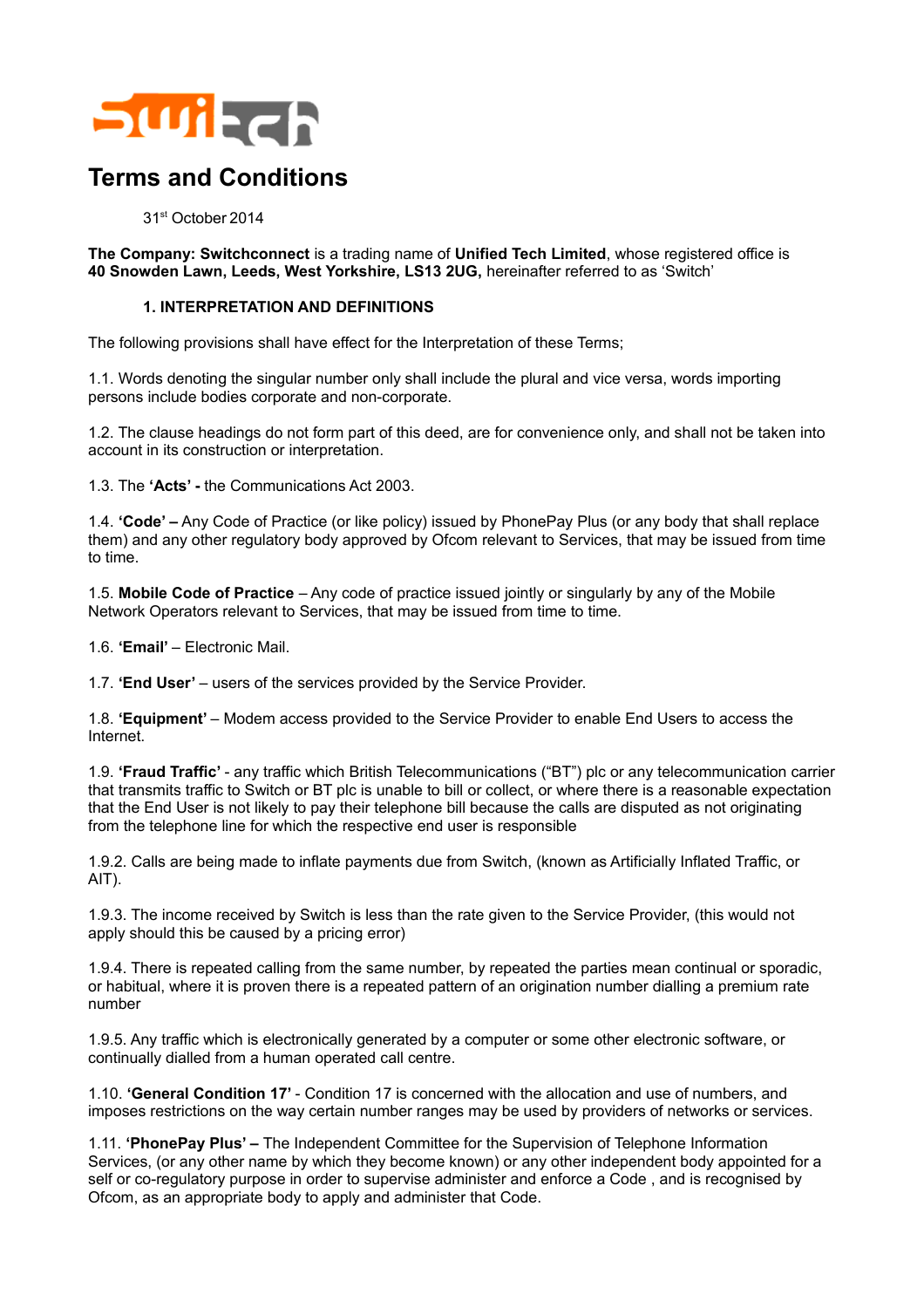

# **Terms and Conditions**

## 31st October2014

**The Company: Switchconnect** is a trading name of **Unified Tech Limited**, whose registered office is **40 Snowden Lawn, Leeds, West Yorkshire, LS13 2UG,** hereinafter referred to as 'Switch'

## **1. INTERPRETATION AND DEFINITIONS**

The following provisions shall have effect for the Interpretation of these Terms;

1.1. Words denoting the singular number only shall include the plural and vice versa, words importing persons include bodies corporate and non-corporate.

1.2. The clause headings do not form part of this deed, are for convenience only, and shall not be taken into account in its construction or interpretation.

1.3. The **'Acts' -** the Communications Act 2003.

1.4. **'Code' –** Any Code of Practice (or like policy) issued by PhonePay Plus (or any body that shall replace them) and any other regulatory body approved by Ofcom relevant to Services, that may be issued from time to time.

1.5. **Mobile Code of Practice** – Any code of practice issued jointly or singularly by any of the Mobile Network Operators relevant to Services, that may be issued from time to time.

1.6. **'Email'** – Electronic Mail.

1.7. **'End User'** – users of the services provided by the Service Provider.

1.8. **'Equipment'** – Modem access provided to the Service Provider to enable End Users to access the Internet.

1.9. **'Fraud Traffic'** - any traffic which British Telecommunications ("BT") plc or any telecommunication carrier that transmits traffic to Switch or BT plc is unable to bill or collect, or where there is a reasonable expectation that the End User is not likely to pay their telephone bill because the calls are disputed as not originating from the telephone line for which the respective end user is responsible

1.9.2. Calls are being made to inflate payments due from Switch, (known as Artificially Inflated Traffic, or AIT).

1.9.3. The income received by Switch is less than the rate given to the Service Provider, (this would not apply should this be caused by a pricing error)

1.9.4. There is repeated calling from the same number, by repeated the parties mean continual or sporadic, or habitual, where it is proven there is a repeated pattern of an origination number dialling a premium rate number

1.9.5. Any traffic which is electronically generated by a computer or some other electronic software, or continually dialled from a human operated call centre.

1.10. **'General Condition 17'** - Condition 17 is concerned with the allocation and use of numbers, and imposes restrictions on the way certain number ranges may be used by providers of networks or services.

1.11. **'PhonePay Plus' –** The Independent Committee for the Supervision of Telephone Information Services, (or any other name by which they become known) or any other independent body appointed for a self or co-regulatory purpose in order to supervise administer and enforce a Code , and is recognised by Ofcom, as an appropriate body to apply and administer that Code.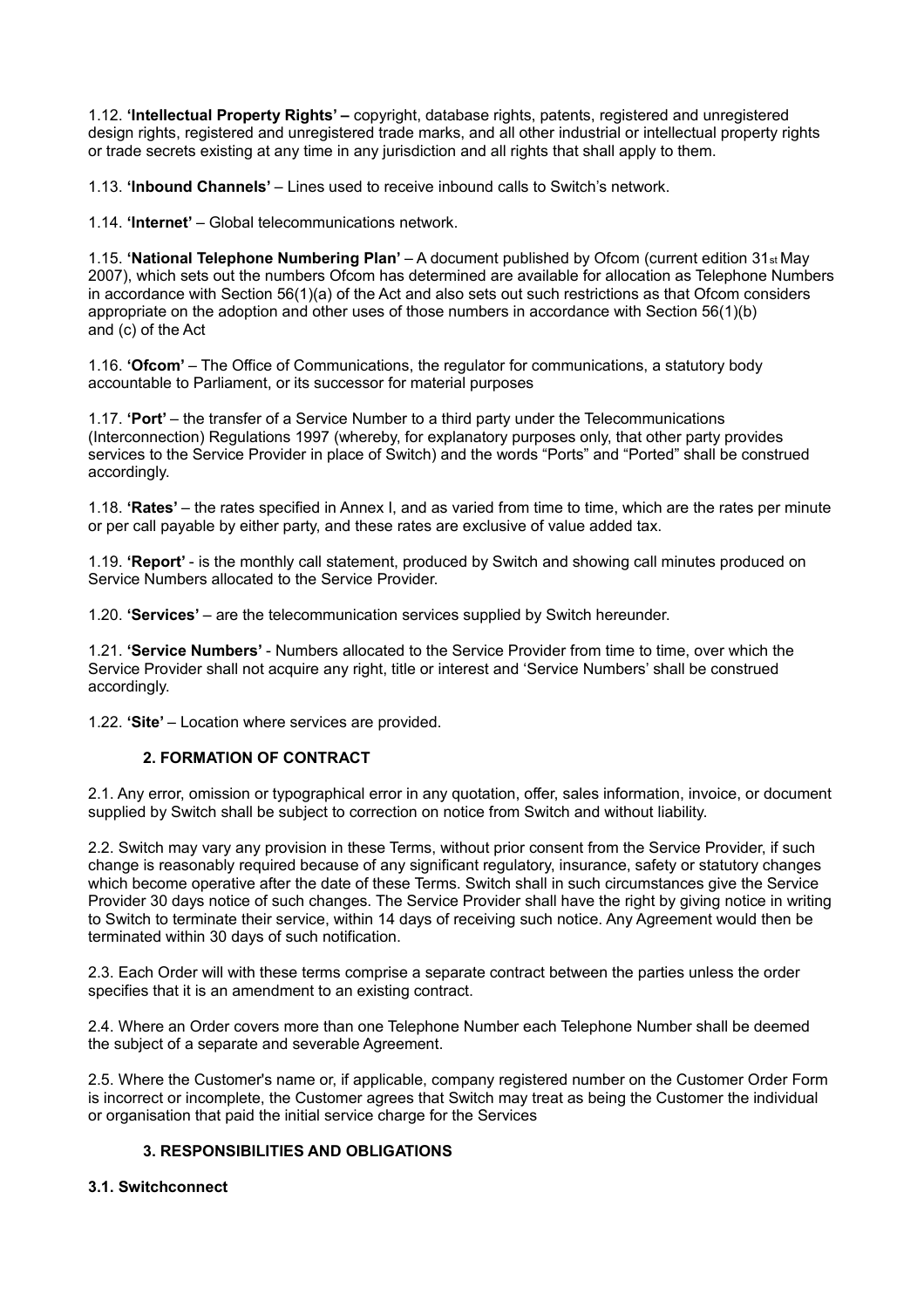1.12. **'Intellectual Property Rights' –** copyright, database rights, patents, registered and unregistered design rights, registered and unregistered trade marks, and all other industrial or intellectual property rights or trade secrets existing at any time in any jurisdiction and all rights that shall apply to them.

1.13. **'Inbound Channels'** – Lines used to receive inbound calls to Switch's network.

1.14. **'Internet'** – Global telecommunications network.

1.15. **'National Telephone Numbering Plan'** – A document published by Ofcom (current edition 31st May 2007), which sets out the numbers Ofcom has determined are available for allocation as Telephone Numbers in accordance with Section 56(1)(a) of the Act and also sets out such restrictions as that Ofcom considers appropriate on the adoption and other uses of those numbers in accordance with Section 56(1)(b) and (c) of the Act

1.16. **'Ofcom'** – The Office of Communications, the regulator for communications, a statutory body accountable to Parliament, or its successor for material purposes

1.17. **'Port'** – the transfer of a Service Number to a third party under the Telecommunications (Interconnection) Regulations 1997 (whereby, for explanatory purposes only, that other party provides services to the Service Provider in place of Switch) and the words "Ports" and "Ported" shall be construed accordingly.

1.18. **'Rates'** – the rates specified in Annex I, and as varied from time to time, which are the rates per minute or per call payable by either party, and these rates are exclusive of value added tax.

1.19. **'Report'** - is the monthly call statement, produced by Switch and showing call minutes produced on Service Numbers allocated to the Service Provider.

1.20. **'Services'** – are the telecommunication services supplied by Switch hereunder.

1.21. **'Service Numbers'** - Numbers allocated to the Service Provider from time to time, over which the Service Provider shall not acquire any right, title or interest and 'Service Numbers' shall be construed accordingly.

1.22. **'Site'** – Location where services are provided.

#### **2. FORMATION OF CONTRACT**

2.1. Any error, omission or typographical error in any quotation, offer, sales information, invoice, or document supplied by Switch shall be subject to correction on notice from Switch and without liability.

2.2. Switch may vary any provision in these Terms, without prior consent from the Service Provider, if such change is reasonably required because of any significant regulatory, insurance, safety or statutory changes which become operative after the date of these Terms. Switch shall in such circumstances give the Service Provider 30 days notice of such changes. The Service Provider shall have the right by giving notice in writing to Switch to terminate their service, within 14 days of receiving such notice. Any Agreement would then be terminated within 30 days of such notification.

2.3. Each Order will with these terms comprise a separate contract between the parties unless the order specifies that it is an amendment to an existing contract.

2.4. Where an Order covers more than one Telephone Number each Telephone Number shall be deemed the subject of a separate and severable Agreement.

2.5. Where the Customer's name or, if applicable, company registered number on the Customer Order Form is incorrect or incomplete, the Customer agrees that Switch may treat as being the Customer the individual or organisation that paid the initial service charge for the Services

# **3. RESPONSIBILITIES AND OBLIGATIONS**

#### **3.1. Switchconnect**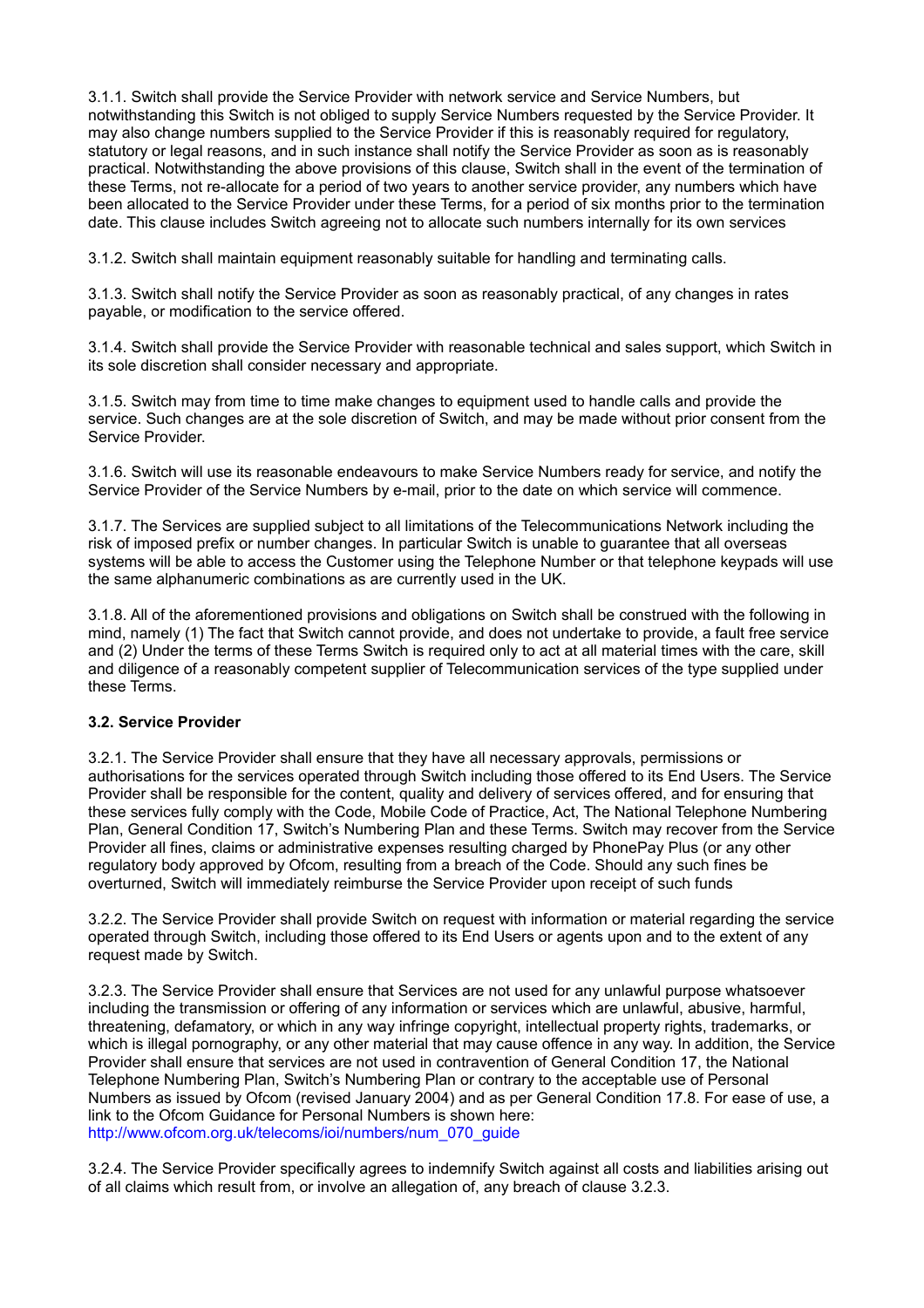3.1.1. Switch shall provide the Service Provider with network service and Service Numbers, but notwithstanding this Switch is not obliged to supply Service Numbers requested by the Service Provider. It may also change numbers supplied to the Service Provider if this is reasonably required for regulatory, statutory or legal reasons, and in such instance shall notify the Service Provider as soon as is reasonably practical. Notwithstanding the above provisions of this clause, Switch shall in the event of the termination of these Terms, not re-allocate for a period of two years to another service provider, any numbers which have been allocated to the Service Provider under these Terms, for a period of six months prior to the termination date. This clause includes Switch agreeing not to allocate such numbers internally for its own services

3.1.2. Switch shall maintain equipment reasonably suitable for handling and terminating calls.

3.1.3. Switch shall notify the Service Provider as soon as reasonably practical, of any changes in rates payable, or modification to the service offered.

3.1.4. Switch shall provide the Service Provider with reasonable technical and sales support, which Switch in its sole discretion shall consider necessary and appropriate.

3.1.5. Switch may from time to time make changes to equipment used to handle calls and provide the service. Such changes are at the sole discretion of Switch, and may be made without prior consent from the Service Provider.

3.1.6. Switch will use its reasonable endeavours to make Service Numbers ready for service, and notify the Service Provider of the Service Numbers by e-mail, prior to the date on which service will commence.

3.1.7. The Services are supplied subject to all limitations of the Telecommunications Network including the risk of imposed prefix or number changes. In particular Switch is unable to guarantee that all overseas systems will be able to access the Customer using the Telephone Number or that telephone keypads will use the same alphanumeric combinations as are currently used in the UK.

3.1.8. All of the aforementioned provisions and obligations on Switch shall be construed with the following in mind, namely (1) The fact that Switch cannot provide, and does not undertake to provide, a fault free service and (2) Under the terms of these Terms Switch is required only to act at all material times with the care, skill and diligence of a reasonably competent supplier of Telecommunication services of the type supplied under these Terms.

# **3.2. Service Provider**

3.2.1. The Service Provider shall ensure that they have all necessary approvals, permissions or authorisations for the services operated through Switch including those offered to its End Users. The Service Provider shall be responsible for the content, quality and delivery of services offered, and for ensuring that these services fully comply with the Code, Mobile Code of Practice, Act, The National Telephone Numbering Plan, General Condition 17, Switch's Numbering Plan and these Terms. Switch may recover from the Service Provider all fines, claims or administrative expenses resulting charged by PhonePay Plus (or any other regulatory body approved by Ofcom, resulting from a breach of the Code. Should any such fines be overturned, Switch will immediately reimburse the Service Provider upon receipt of such funds

3.2.2. The Service Provider shall provide Switch on request with information or material regarding the service operated through Switch, including those offered to its End Users or agents upon and to the extent of any request made by Switch.

3.2.3. The Service Provider shall ensure that Services are not used for any unlawful purpose whatsoever including the transmission or offering of any information or services which are unlawful, abusive, harmful, threatening, defamatory, or which in any way infringe copyright, intellectual property rights, trademarks, or which is illegal pornography, or any other material that may cause offence in any way. In addition, the Service Provider shall ensure that services are not used in contravention of General Condition 17, the National Telephone Numbering Plan, Switch's Numbering Plan or contrary to the acceptable use of Personal Numbers as issued by Ofcom (revised January 2004) and as per General Condition 17.8. For ease of use, a link to the Ofcom Guidance for Personal Numbers is shown here: http://www.ofcom.org.uk/telecoms/ioi/numbers/num\_070\_guide

3.2.4. The Service Provider specifically agrees to indemnify Switch against all costs and liabilities arising out of all claims which result from, or involve an allegation of, any breach of clause 3.2.3.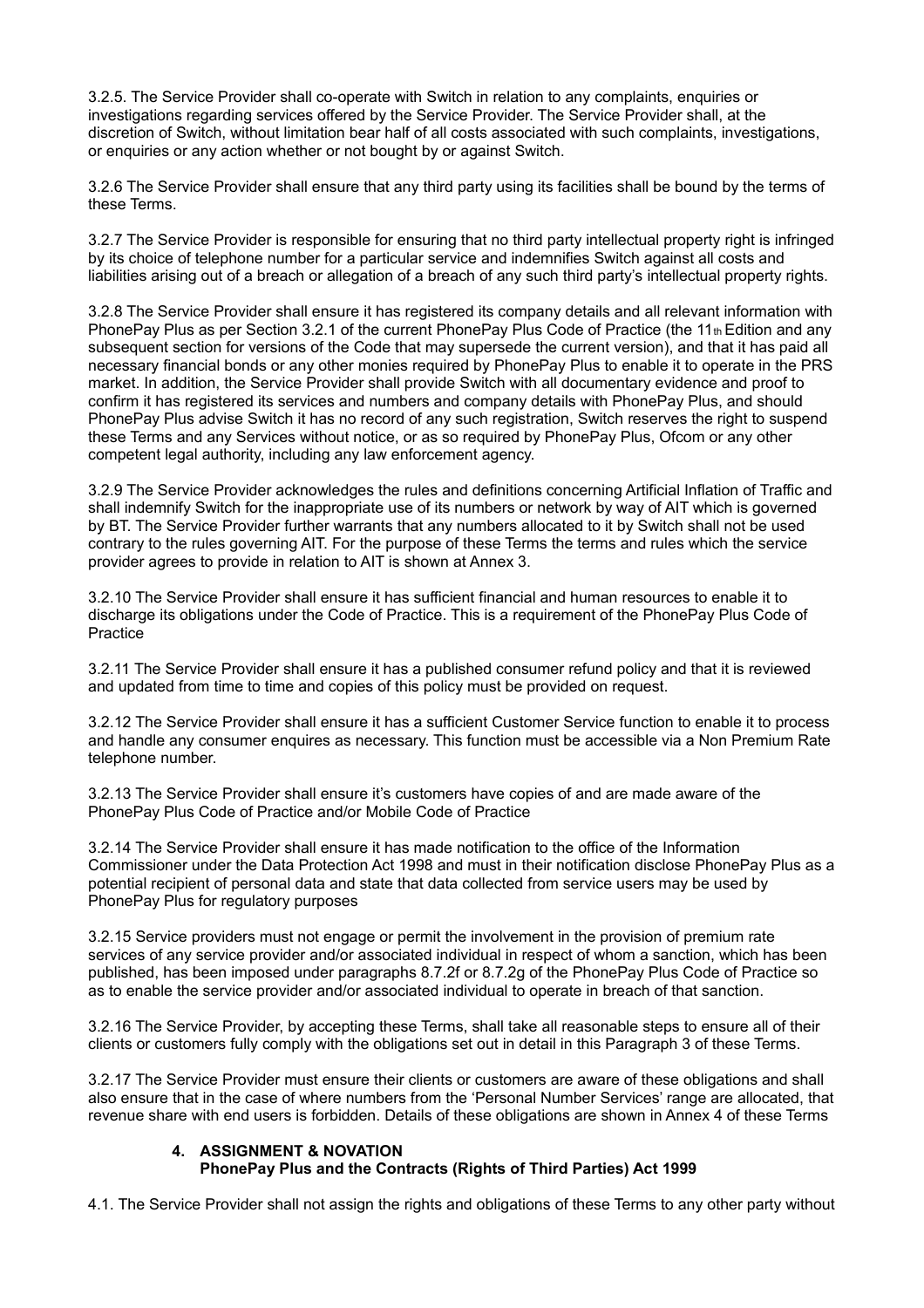3.2.5. The Service Provider shall co-operate with Switch in relation to any complaints, enquiries or investigations regarding services offered by the Service Provider. The Service Provider shall, at the discretion of Switch, without limitation bear half of all costs associated with such complaints, investigations, or enquiries or any action whether or not bought by or against Switch.

3.2.6 The Service Provider shall ensure that any third party using its facilities shall be bound by the terms of these Terms.

3.2.7 The Service Provider is responsible for ensuring that no third party intellectual property right is infringed by its choice of telephone number for a particular service and indemnifies Switch against all costs and liabilities arising out of a breach or allegation of a breach of any such third party's intellectual property rights.

3.2.8 The Service Provider shall ensure it has registered its company details and all relevant information with PhonePay Plus as per Section 3.2.1 of the current PhonePay Plus Code of Practice (the 11<sup>th</sup> Edition and any subsequent section for versions of the Code that may supersede the current version), and that it has paid all necessary financial bonds or any other monies required by PhonePay Plus to enable it to operate in the PRS market. In addition, the Service Provider shall provide Switch with all documentary evidence and proof to confirm it has registered its services and numbers and company details with PhonePay Plus, and should PhonePay Plus advise Switch it has no record of any such registration, Switch reserves the right to suspend these Terms and any Services without notice, or as so required by PhonePay Plus, Ofcom or any other competent legal authority, including any law enforcement agency.

3.2.9 The Service Provider acknowledges the rules and definitions concerning Artificial Inflation of Traffic and shall indemnify Switch for the inappropriate use of its numbers or network by way of AIT which is governed by BT. The Service Provider further warrants that any numbers allocated to it by Switch shall not be used contrary to the rules governing AIT. For the purpose of these Terms the terms and rules which the service provider agrees to provide in relation to AIT is shown at Annex 3.

3.2.10 The Service Provider shall ensure it has sufficient financial and human resources to enable it to discharge its obligations under the Code of Practice. This is a requirement of the PhonePay Plus Code of **Practice** 

3.2.11 The Service Provider shall ensure it has a published consumer refund policy and that it is reviewed and updated from time to time and copies of this policy must be provided on request.

3.2.12 The Service Provider shall ensure it has a sufficient Customer Service function to enable it to process and handle any consumer enquires as necessary. This function must be accessible via a Non Premium Rate telephone number.

3.2.13 The Service Provider shall ensure it's customers have copies of and are made aware of the PhonePay Plus Code of Practice and/or Mobile Code of Practice

3.2.14 The Service Provider shall ensure it has made notification to the office of the Information Commissioner under the Data Protection Act 1998 and must in their notification disclose PhonePay Plus as a potential recipient of personal data and state that data collected from service users may be used by PhonePay Plus for regulatory purposes

3.2.15 Service providers must not engage or permit the involvement in the provision of premium rate services of any service provider and/or associated individual in respect of whom a sanction, which has been published, has been imposed under paragraphs 8.7.2f or 8.7.2g of the PhonePay Plus Code of Practice so as to enable the service provider and/or associated individual to operate in breach of that sanction.

3.2.16 The Service Provider, by accepting these Terms, shall take all reasonable steps to ensure all of their clients or customers fully comply with the obligations set out in detail in this Paragraph 3 of these Terms.

3.2.17 The Service Provider must ensure their clients or customers are aware of these obligations and shall also ensure that in the case of where numbers from the 'Personal Number Services' range are allocated, that revenue share with end users is forbidden. Details of these obligations are shown in Annex 4 of these Terms

# **4. ASSIGNMENT & NOVATION**

# **PhonePay Plus and the Contracts (Rights of Third Parties) Act 1999**

4.1. The Service Provider shall not assign the rights and obligations of these Terms to any other party without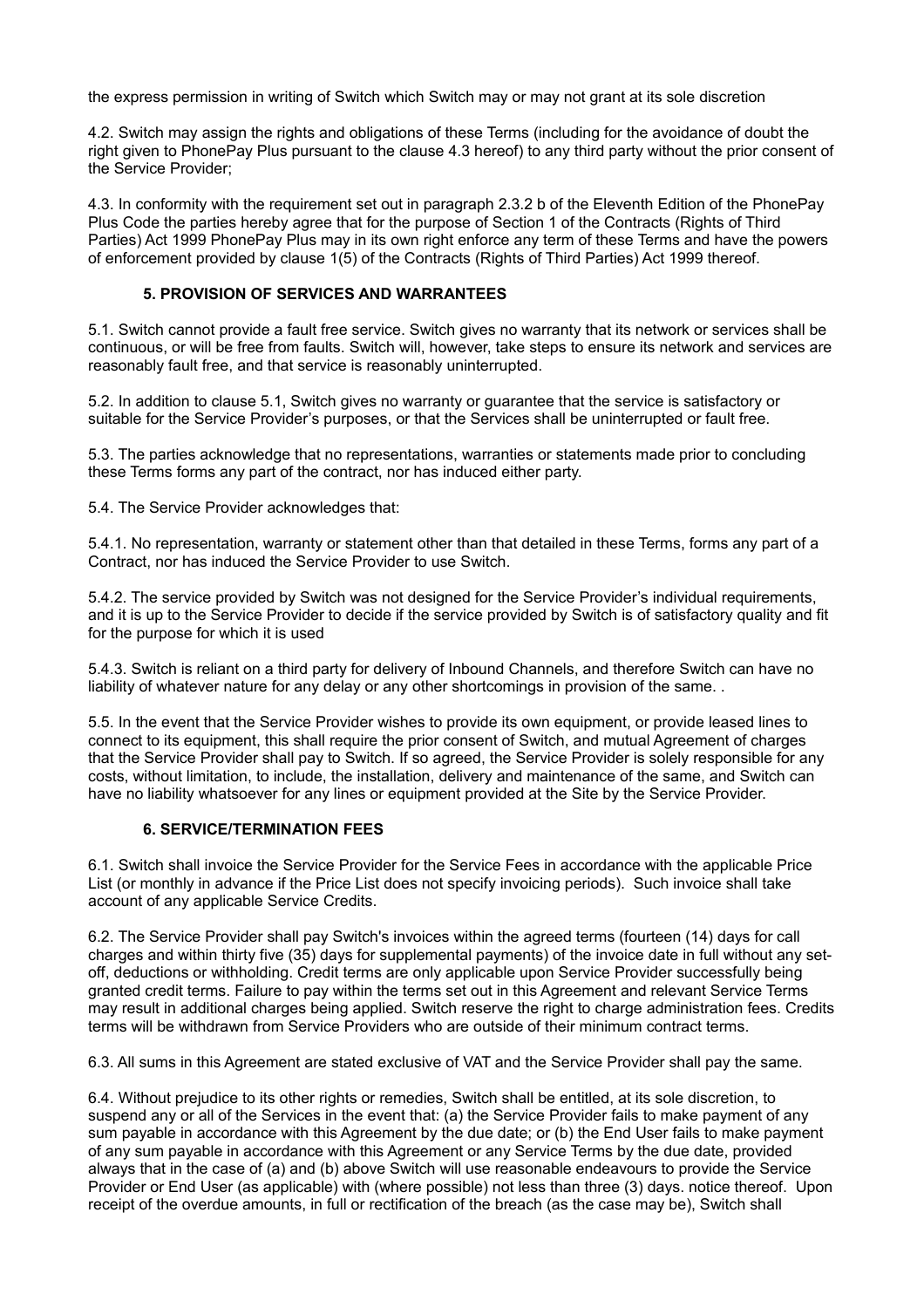the express permission in writing of Switch which Switch may or may not grant at its sole discretion

4.2. Switch may assign the rights and obligations of these Terms (including for the avoidance of doubt the right given to PhonePay Plus pursuant to the clause 4.3 hereof) to any third party without the prior consent of the Service Provider;

4.3. In conformity with the requirement set out in paragraph 2.3.2 b of the Eleventh Edition of the PhonePay Plus Code the parties hereby agree that for the purpose of Section 1 of the Contracts (Rights of Third Parties) Act 1999 PhonePay Plus may in its own right enforce any term of these Terms and have the powers of enforcement provided by clause 1(5) of the Contracts (Rights of Third Parties) Act 1999 thereof.

# **5. PROVISION OF SERVICES AND WARRANTEES**

5.1. Switch cannot provide a fault free service. Switch gives no warranty that its network or services shall be continuous, or will be free from faults. Switch will, however, take steps to ensure its network and services are reasonably fault free, and that service is reasonably uninterrupted.

5.2. In addition to clause 5.1, Switch gives no warranty or guarantee that the service is satisfactory or suitable for the Service Provider's purposes, or that the Services shall be uninterrupted or fault free.

5.3. The parties acknowledge that no representations, warranties or statements made prior to concluding these Terms forms any part of the contract, nor has induced either party.

5.4. The Service Provider acknowledges that:

5.4.1. No representation, warranty or statement other than that detailed in these Terms, forms any part of a Contract, nor has induced the Service Provider to use Switch.

5.4.2. The service provided by Switch was not designed for the Service Provider's individual requirements, and it is up to the Service Provider to decide if the service provided by Switch is of satisfactory quality and fit for the purpose for which it is used

5.4.3. Switch is reliant on a third party for delivery of Inbound Channels, and therefore Switch can have no liability of whatever nature for any delay or any other shortcomings in provision of the same. .

5.5. In the event that the Service Provider wishes to provide its own equipment, or provide leased lines to connect to its equipment, this shall require the prior consent of Switch, and mutual Agreement of charges that the Service Provider shall pay to Switch. If so agreed, the Service Provider is solely responsible for any costs, without limitation, to include, the installation, delivery and maintenance of the same, and Switch can have no liability whatsoever for any lines or equipment provided at the Site by the Service Provider.

# **6. SERVICE/TERMINATION FEES**

6.1. Switch shall invoice the Service Provider for the Service Fees in accordance with the applicable Price List (or monthly in advance if the Price List does not specify invoicing periods). Such invoice shall take account of any applicable Service Credits.

6.2. The Service Provider shall pay Switch's invoices within the agreed terms (fourteen (14) days for call charges and within thirty five (35) days for supplemental payments) of the invoice date in full without any setoff, deductions or withholding. Credit terms are only applicable upon Service Provider successfully being granted credit terms. Failure to pay within the terms set out in this Agreement and relevant Service Terms may result in additional charges being applied. Switch reserve the right to charge administration fees. Credits terms will be withdrawn from Service Providers who are outside of their minimum contract terms.

6.3. All sums in this Agreement are stated exclusive of VAT and the Service Provider shall pay the same.

6.4. Without prejudice to its other rights or remedies, Switch shall be entitled, at its sole discretion, to suspend any or all of the Services in the event that: (a) the Service Provider fails to make payment of any sum payable in accordance with this Agreement by the due date; or (b) the End User fails to make payment of any sum payable in accordance with this Agreement or any Service Terms by the due date, provided always that in the case of (a) and (b) above Switch will use reasonable endeavours to provide the Service Provider or End User (as applicable) with (where possible) not less than three (3) days. notice thereof. Upon receipt of the overdue amounts, in full or rectification of the breach (as the case may be), Switch shall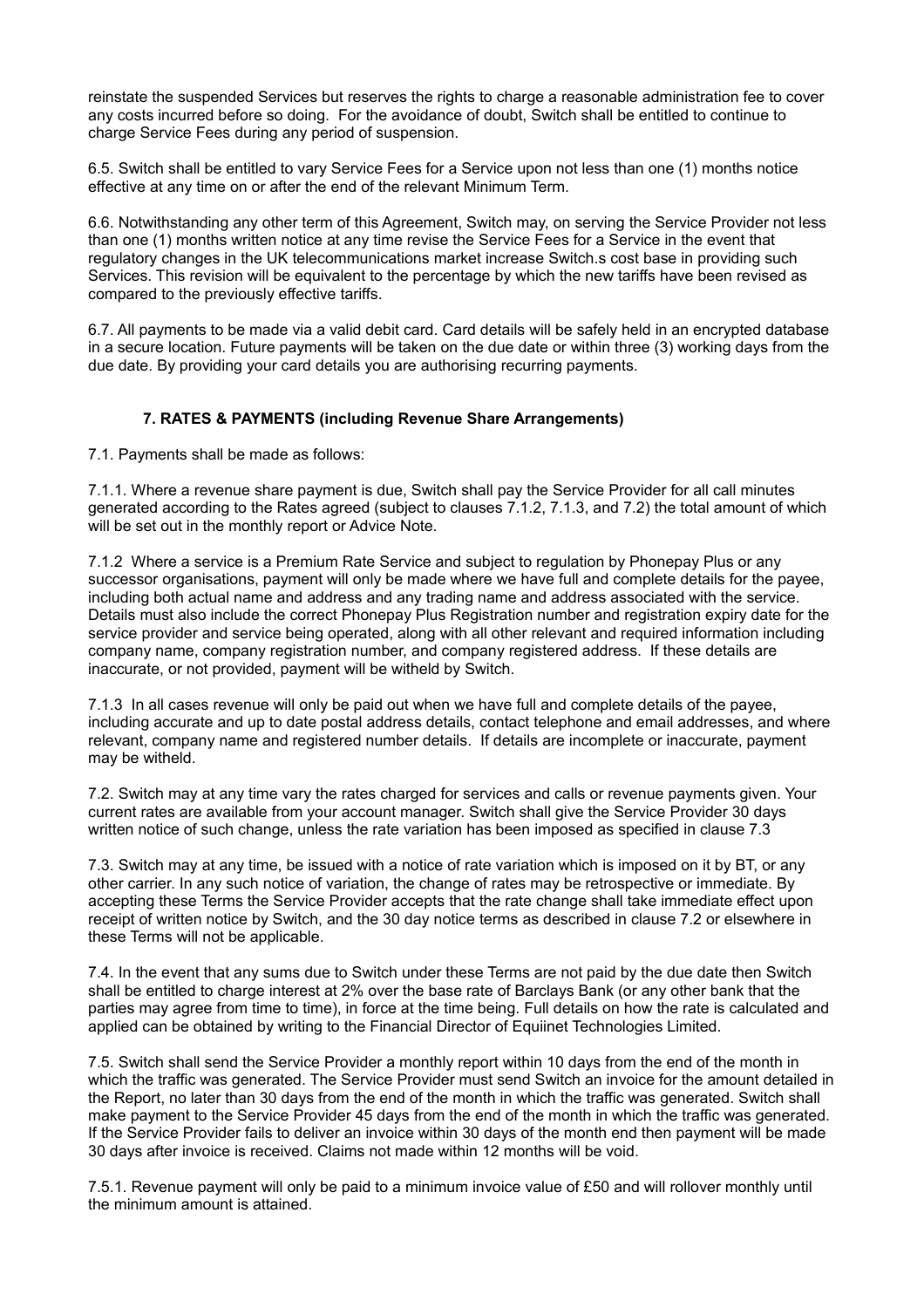reinstate the suspended Services but reserves the rights to charge a reasonable administration fee to cover any costs incurred before so doing. For the avoidance of doubt, Switch shall be entitled to continue to charge Service Fees during any period of suspension.

6.5. Switch shall be entitled to vary Service Fees for a Service upon not less than one (1) months notice effective at any time on or after the end of the relevant Minimum Term.

6.6. Notwithstanding any other term of this Agreement, Switch may, on serving the Service Provider not less than one (1) months written notice at any time revise the Service Fees for a Service in the event that regulatory changes in the UK telecommunications market increase Switch.s cost base in providing such Services. This revision will be equivalent to the percentage by which the new tariffs have been revised as compared to the previously effective tariffs.

6.7. All payments to be made via a valid debit card. Card details will be safely held in an encrypted database in a secure location. Future payments will be taken on the due date or within three (3) working days from the due date. By providing your card details you are authorising recurring payments.

# **7. RATES & PAYMENTS (including Revenue Share Arrangements)**

7.1. Payments shall be made as follows:

7.1.1. Where a revenue share payment is due, Switch shall pay the Service Provider for all call minutes generated according to the Rates agreed (subject to clauses 7.1.2, 7.1.3, and 7.2) the total amount of which will be set out in the monthly report or Advice Note.

7.1.2 Where a service is a Premium Rate Service and subject to regulation by Phonepay Plus or any successor organisations, payment will only be made where we have full and complete details for the payee, including both actual name and address and any trading name and address associated with the service. Details must also include the correct Phonepay Plus Registration number and registration expiry date for the service provider and service being operated, along with all other relevant and required information including company name, company registration number, and company registered address. If these details are inaccurate, or not provided, payment will be witheld by Switch.

7.1.3 In all cases revenue will only be paid out when we have full and complete details of the payee, including accurate and up to date postal address details, contact telephone and email addresses, and where relevant, company name and registered number details. If details are incomplete or inaccurate, payment may be witheld.

7.2. Switch may at any time vary the rates charged for services and calls or revenue payments given. Your current rates are available from your account manager. Switch shall give the Service Provider 30 days written notice of such change, unless the rate variation has been imposed as specified in clause 7.3

7.3. Switch may at any time, be issued with a notice of rate variation which is imposed on it by BT, or any other carrier. In any such notice of variation, the change of rates may be retrospective or immediate. By accepting these Terms the Service Provider accepts that the rate change shall take immediate effect upon receipt of written notice by Switch, and the 30 day notice terms as described in clause 7.2 or elsewhere in these Terms will not be applicable.

7.4. In the event that any sums due to Switch under these Terms are not paid by the due date then Switch shall be entitled to charge interest at 2% over the base rate of Barclays Bank (or any other bank that the parties may agree from time to time), in force at the time being. Full details on how the rate is calculated and applied can be obtained by writing to the Financial Director of Equiinet Technologies Limited.

7.5. Switch shall send the Service Provider a monthly report within 10 days from the end of the month in which the traffic was generated. The Service Provider must send Switch an invoice for the amount detailed in the Report, no later than 30 days from the end of the month in which the traffic was generated. Switch shall make payment to the Service Provider 45 days from the end of the month in which the traffic was generated. If the Service Provider fails to deliver an invoice within 30 days of the month end then payment will be made 30 days after invoice is received. Claims not made within 12 months will be void.

7.5.1. Revenue payment will only be paid to a minimum invoice value of £50 and will rollover monthly until the minimum amount is attained.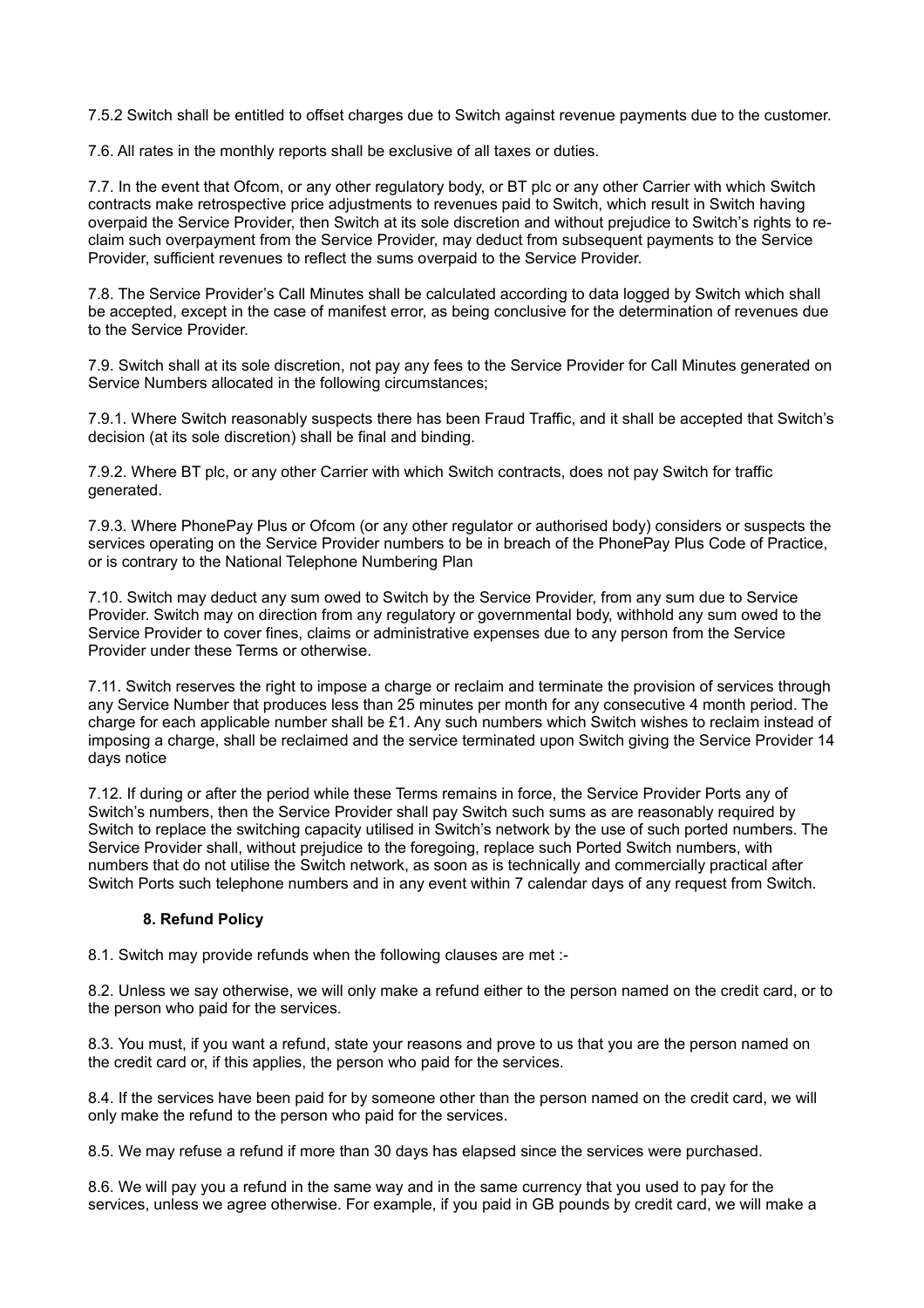7.5.2 Switch shall be entitled to offset charges due to Switch against revenue payments due to the customer.

7.6. All rates in the monthly reports shall be exclusive of all taxes or duties.

7.7. In the event that Ofcom, or any other regulatory body, or BT plc or any other Carrier with which Switch contracts make retrospective price adjustments to revenues paid to Switch, which result in Switch having overpaid the Service Provider, then Switch at its sole discretion and without prejudice to Switch's rights to reclaim such overpayment from the Service Provider, may deduct from subsequent payments to the Service Provider, sufficient revenues to reflect the sums overpaid to the Service Provider.

7.8. The Service Provider's Call Minutes shall be calculated according to data logged by Switch which shall be accepted, except in the case of manifest error, as being conclusive for the determination of revenues due to the Service Provider.

7.9. Switch shall at its sole discretion, not pay any fees to the Service Provider for Call Minutes generated on Service Numbers allocated in the following circumstances;

7.9.1. Where Switch reasonably suspects there has been Fraud Traffic, and it shall be accepted that Switch's decision (at its sole discretion) shall be final and binding.

7.9.2. Where BT plc, or any other Carrier with which Switch contracts, does not pay Switch for traffic generated.

7.9.3. Where PhonePay Plus or Ofcom (or any other regulator or authorised body) considers or suspects the services operating on the Service Provider numbers to be in breach of the PhonePay Plus Code of Practice, or is contrary to the National Telephone Numbering Plan

7.10. Switch may deduct any sum owed to Switch by the Service Provider, from any sum due to Service Provider. Switch may on direction from any regulatory or governmental body, withhold any sum owed to the Service Provider to cover fines, claims or administrative expenses due to any person from the Service Provider under these Terms or otherwise.

7.11. Switch reserves the right to impose a charge or reclaim and terminate the provision of services through any Service Number that produces less than 25 minutes per month for any consecutive 4 month period. The charge for each applicable number shall be £1. Any such numbers which Switch wishes to reclaim instead of imposing a charge, shall be reclaimed and the service terminated upon Switch giving the Service Provider 14 days notice

7.12. If during or after the period while these Terms remains in force, the Service Provider Ports any of Switch's numbers, then the Service Provider shall pay Switch such sums as are reasonably required by Switch to replace the switching capacity utilised in Switch's network by the use of such ported numbers. The Service Provider shall, without prejudice to the foregoing, replace such Ported Switch numbers, with numbers that do not utilise the Switch network, as soon as is technically and commercially practical after Switch Ports such telephone numbers and in any event within 7 calendar days of any request from Switch.

#### **8. Refund Policy**

8.1. Switch may provide refunds when the following clauses are met :-

8.2. Unless we say otherwise, we will only make a refund either to the person named on the credit card, or to the person who paid for the services.

8.3. You must, if you want a refund, state your reasons and prove to us that you are the person named on the credit card or, if this applies, the person who paid for the services.

8.4. If the services have been paid for by someone other than the person named on the credit card, we will only make the refund to the person who paid for the services.

8.5. We may refuse a refund if more than 30 days has elapsed since the services were purchased.

8.6. We will pay you a refund in the same way and in the same currency that you used to pay for the services, unless we agree otherwise. For example, if you paid in GB pounds by credit card, we will make a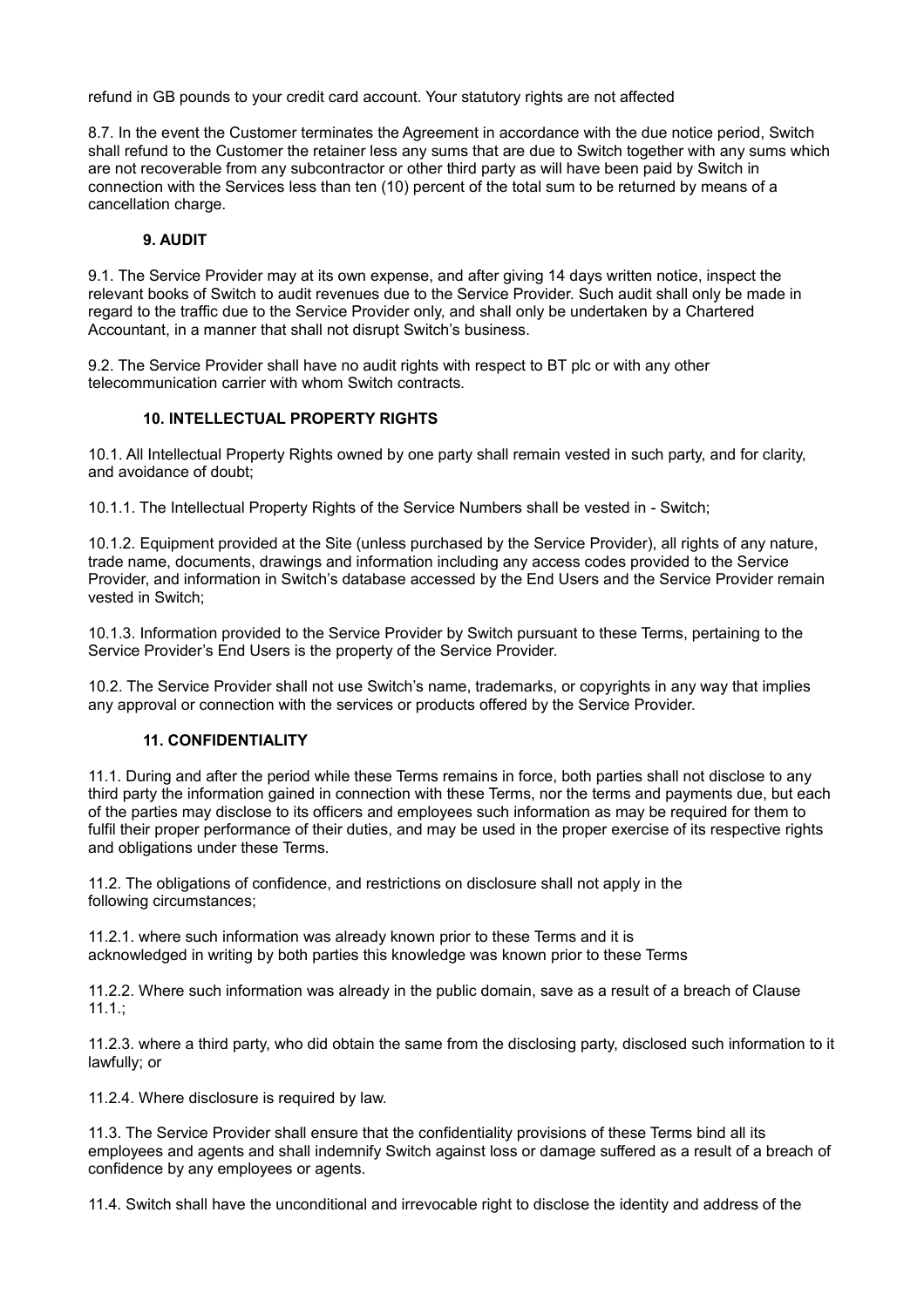refund in GB pounds to your credit card account. Your statutory rights are not affected

8.7. In the event the Customer terminates the Agreement in accordance with the due notice period, Switch shall refund to the Customer the retainer less any sums that are due to Switch together with any sums which are not recoverable from any subcontractor or other third party as will have been paid by Switch in connection with the Services less than ten (10) percent of the total sum to be returned by means of a cancellation charge.

## **9. AUDIT**

9.1. The Service Provider may at its own expense, and after giving 14 days written notice, inspect the relevant books of Switch to audit revenues due to the Service Provider. Such audit shall only be made in regard to the traffic due to the Service Provider only, and shall only be undertaken by a Chartered Accountant, in a manner that shall not disrupt Switch's business.

9.2. The Service Provider shall have no audit rights with respect to BT plc or with any other telecommunication carrier with whom Switch contracts.

## **10. INTELLECTUAL PROPERTY RIGHTS**

10.1. All Intellectual Property Rights owned by one party shall remain vested in such party, and for clarity, and avoidance of doubt;

10.1.1. The Intellectual Property Rights of the Service Numbers shall be vested in - Switch;

10.1.2. Equipment provided at the Site (unless purchased by the Service Provider), all rights of any nature, trade name, documents, drawings and information including any access codes provided to the Service Provider, and information in Switch's database accessed by the End Users and the Service Provider remain vested in Switch;

10.1.3. Information provided to the Service Provider by Switch pursuant to these Terms, pertaining to the Service Provider's End Users is the property of the Service Provider.

10.2. The Service Provider shall not use Switch's name, trademarks, or copyrights in any way that implies any approval or connection with the services or products offered by the Service Provider.

## **11. CONFIDENTIALITY**

11.1. During and after the period while these Terms remains in force, both parties shall not disclose to any third party the information gained in connection with these Terms, nor the terms and payments due, but each of the parties may disclose to its officers and employees such information as may be required for them to fulfil their proper performance of their duties, and may be used in the proper exercise of its respective rights and obligations under these Terms.

11.2. The obligations of confidence, and restrictions on disclosure shall not apply in the following circumstances;

11.2.1. where such information was already known prior to these Terms and it is acknowledged in writing by both parties this knowledge was known prior to these Terms

11.2.2. Where such information was already in the public domain, save as a result of a breach of Clause  $11.1.$ ;

11.2.3. where a third party, who did obtain the same from the disclosing party, disclosed such information to it lawfully; or

11.2.4. Where disclosure is required by law.

11.3. The Service Provider shall ensure that the confidentiality provisions of these Terms bind all its employees and agents and shall indemnify Switch against loss or damage suffered as a result of a breach of confidence by any employees or agents.

11.4. Switch shall have the unconditional and irrevocable right to disclose the identity and address of the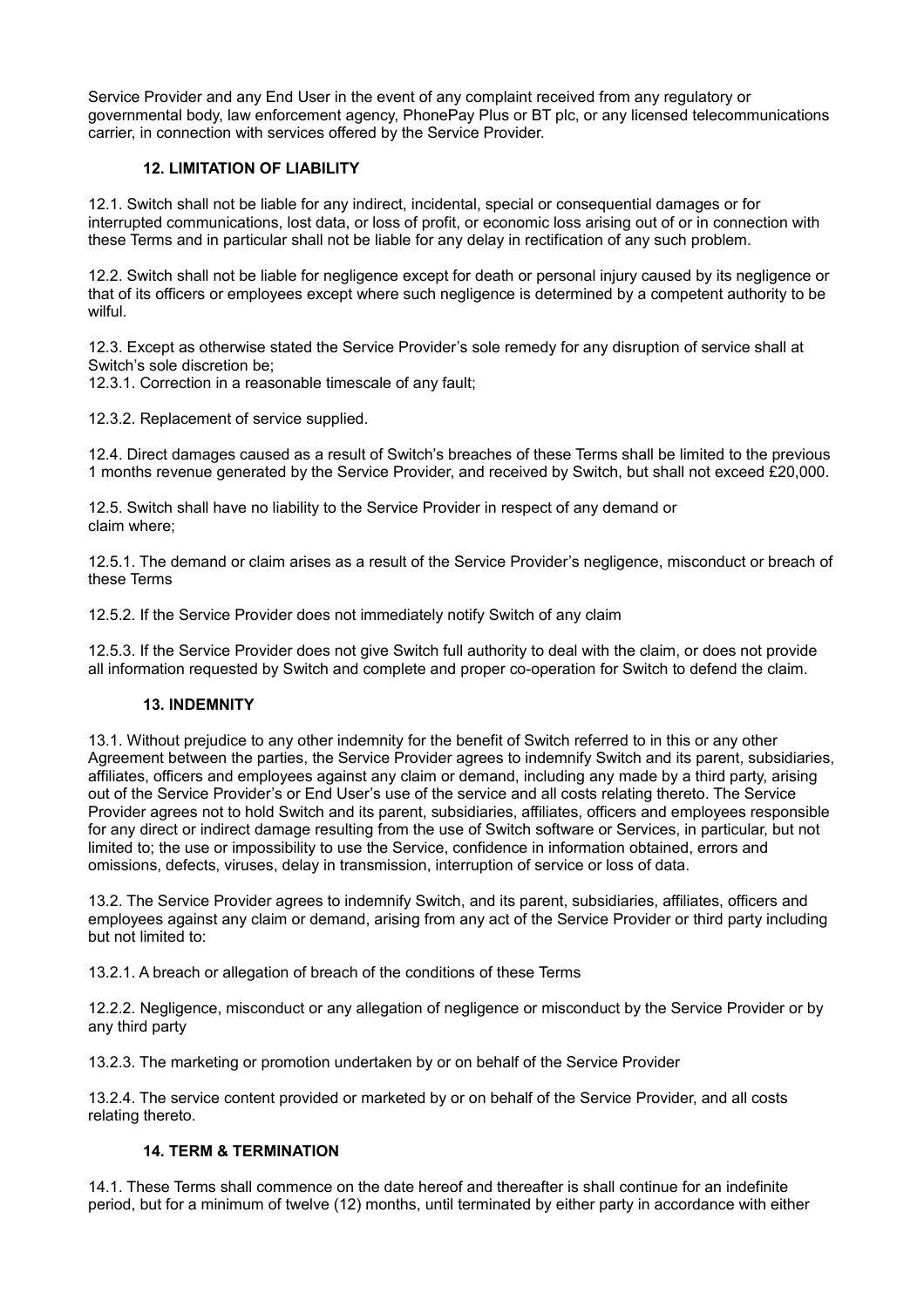Service Provider and any End User in the event of any complaint received from any regulatory or governmental body, law enforcement agency, PhonePay Plus or BT plc, or any licensed telecommunications carrier, in connection with services offered by the Service Provider.

# **12. LIMITATION OF LIABILITY**

12.1. Switch shall not be liable for any indirect, incidental, special or consequential damages or for interrupted communications, lost data, or loss of profit, or economic loss arising out of or in connection with these Terms and in particular shall not be liable for any delay in rectification of any such problem.

12.2. Switch shall not be liable for negligence except for death or personal injury caused by its negligence or that of its officers or employees except where such negligence is determined by a competent authority to be wilful.

12.3. Except as otherwise stated the Service Provider's sole remedy for any disruption of service shall at Switch's sole discretion be;

12.3.1. Correction in a reasonable timescale of any fault;

12.3.2. Replacement of service supplied.

12.4. Direct damages caused as a result of Switch's breaches of these Terms shall be limited to the previous 1 months revenue generated by the Service Provider, and received by Switch, but shall not exceed £20,000.

12.5. Switch shall have no liability to the Service Provider in respect of any demand or claim where;

12.5.1. The demand or claim arises as a result of the Service Provider's negligence, misconduct or breach of these Terms

12.5.2. If the Service Provider does not immediately notify Switch of any claim

12.5.3. If the Service Provider does not give Switch full authority to deal with the claim, or does not provide all information requested by Switch and complete and proper co-operation for Switch to defend the claim.

# **13. INDEMNITY**

13.1. Without prejudice to any other indemnity for the benefit of Switch referred to in this or any other Agreement between the parties, the Service Provider agrees to indemnify Switch and its parent, subsidiaries, affiliates, officers and employees against any claim or demand, including any made by a third party, arising out of the Service Provider's or End User's use of the service and all costs relating thereto. The Service Provider agrees not to hold Switch and its parent, subsidiaries, affiliates, officers and employees responsible for any direct or indirect damage resulting from the use of Switch software or Services, in particular, but not limited to; the use or impossibility to use the Service, confidence in information obtained, errors and omissions, defects, viruses, delay in transmission, interruption of service or loss of data.

13.2. The Service Provider agrees to indemnify Switch, and its parent, subsidiaries, affiliates, officers and employees against any claim or demand, arising from any act of the Service Provider or third party including but not limited to:

13.2.1. A breach or allegation of breach of the conditions of these Terms

12.2.2. Negligence, misconduct or any allegation of negligence or misconduct by the Service Provider or by any third party

13.2.3. The marketing or promotion undertaken by or on behalf of the Service Provider

13.2.4. The service content provided or marketed by or on behalf of the Service Provider, and all costs relating thereto.

# **14. TERM & TERMINATION**

14.1. These Terms shall commence on the date hereof and thereafter is shall continue for an indefinite period, but for a minimum of twelve (12) months, until terminated by either party in accordance with either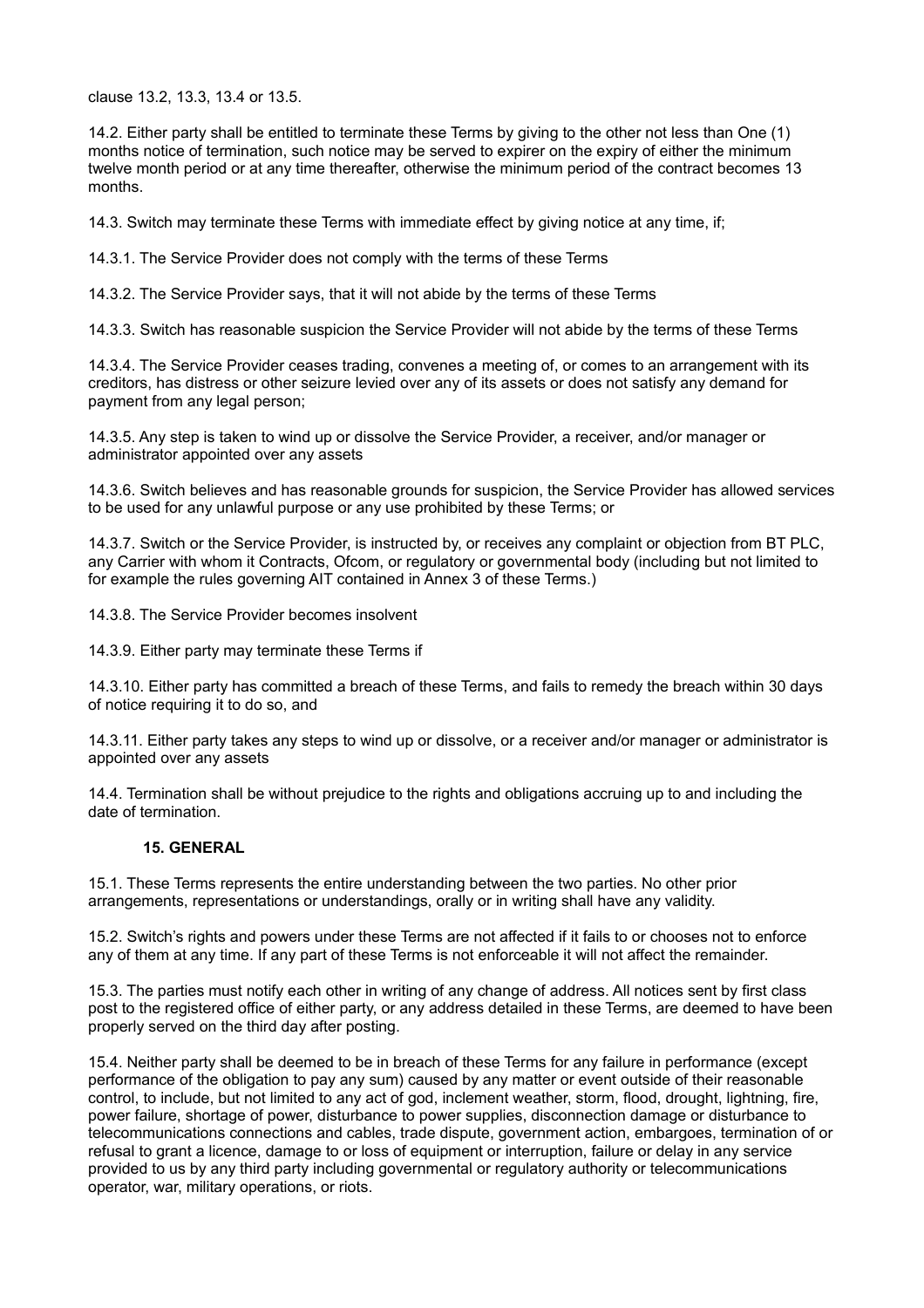clause 13.2, 13.3, 13.4 or 13.5.

14.2. Either party shall be entitled to terminate these Terms by giving to the other not less than One (1) months notice of termination, such notice may be served to expirer on the expiry of either the minimum twelve month period or at any time thereafter, otherwise the minimum period of the contract becomes 13 months.

14.3. Switch may terminate these Terms with immediate effect by giving notice at any time, if;

14.3.1. The Service Provider does not comply with the terms of these Terms

14.3.2. The Service Provider says, that it will not abide by the terms of these Terms

14.3.3. Switch has reasonable suspicion the Service Provider will not abide by the terms of these Terms

14.3.4. The Service Provider ceases trading, convenes a meeting of, or comes to an arrangement with its creditors, has distress or other seizure levied over any of its assets or does not satisfy any demand for payment from any legal person;

14.3.5. Any step is taken to wind up or dissolve the Service Provider, a receiver, and/or manager or administrator appointed over any assets

14.3.6. Switch believes and has reasonable grounds for suspicion, the Service Provider has allowed services to be used for any unlawful purpose or any use prohibited by these Terms; or

14.3.7. Switch or the Service Provider, is instructed by, or receives any complaint or objection from BT PLC, any Carrier with whom it Contracts, Ofcom, or regulatory or governmental body (including but not limited to for example the rules governing AIT contained in Annex 3 of these Terms.)

14.3.8. The Service Provider becomes insolvent

14.3.9. Either party may terminate these Terms if

14.3.10. Either party has committed a breach of these Terms, and fails to remedy the breach within 30 days of notice requiring it to do so, and

14.3.11. Either party takes any steps to wind up or dissolve, or a receiver and/or manager or administrator is appointed over any assets

14.4. Termination shall be without prejudice to the rights and obligations accruing up to and including the date of termination.

## **15. GENERAL**

15.1. These Terms represents the entire understanding between the two parties. No other prior arrangements, representations or understandings, orally or in writing shall have any validity.

15.2. Switch's rights and powers under these Terms are not affected if it fails to or chooses not to enforce any of them at any time. If any part of these Terms is not enforceable it will not affect the remainder.

15.3. The parties must notify each other in writing of any change of address. All notices sent by first class post to the registered office of either party, or any address detailed in these Terms, are deemed to have been properly served on the third day after posting.

15.4. Neither party shall be deemed to be in breach of these Terms for any failure in performance (except performance of the obligation to pay any sum) caused by any matter or event outside of their reasonable control, to include, but not limited to any act of god, inclement weather, storm, flood, drought, lightning, fire, power failure, shortage of power, disturbance to power supplies, disconnection damage or disturbance to telecommunications connections and cables, trade dispute, government action, embargoes, termination of or refusal to grant a licence, damage to or loss of equipment or interruption, failure or delay in any service provided to us by any third party including governmental or regulatory authority or telecommunications operator, war, military operations, or riots.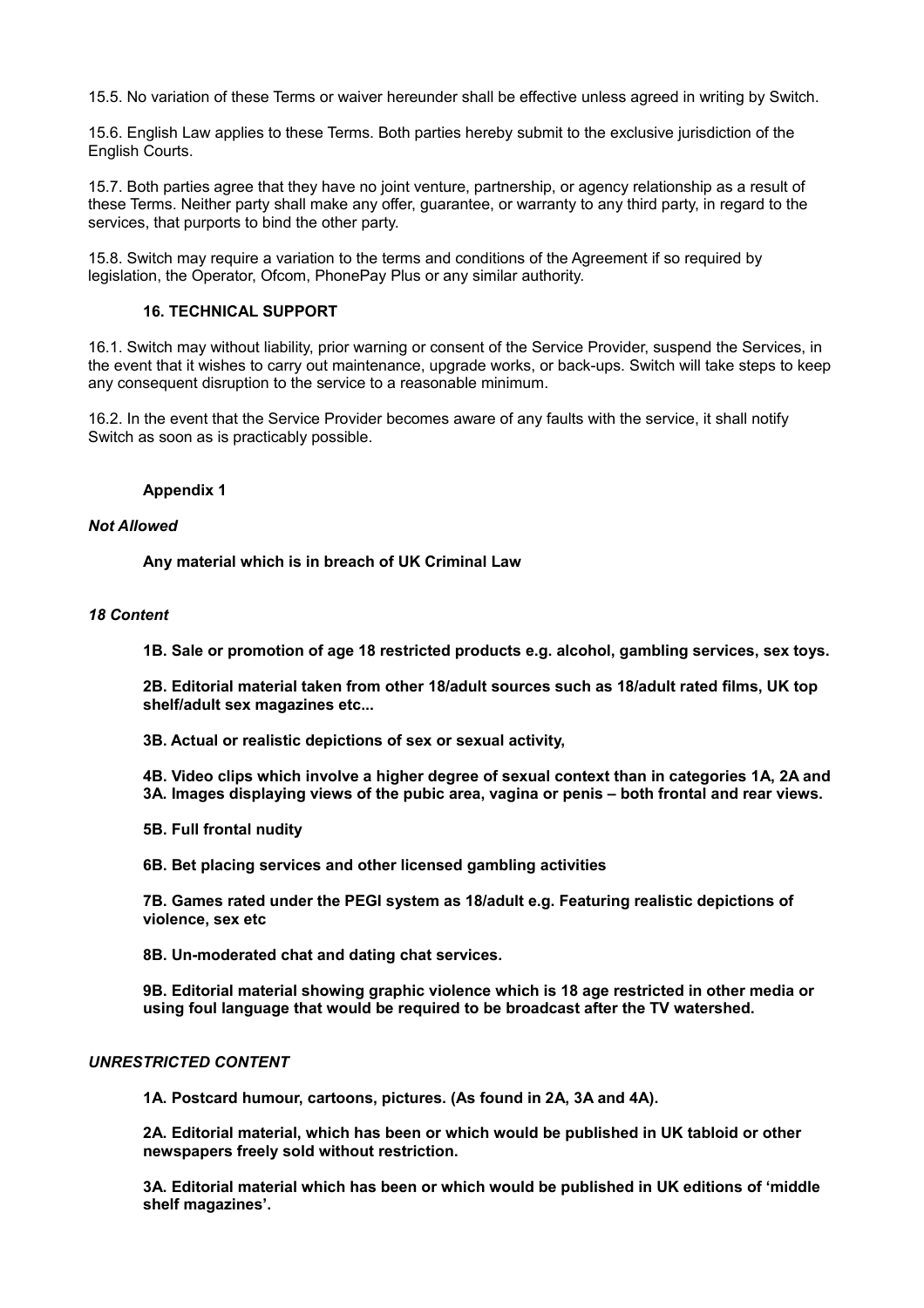15.5. No variation of these Terms or waiver hereunder shall be effective unless agreed in writing by Switch.

15.6. English Law applies to these Terms. Both parties hereby submit to the exclusive jurisdiction of the English Courts.

15.7. Both parties agree that they have no joint venture, partnership, or agency relationship as a result of these Terms. Neither party shall make any offer, guarantee, or warranty to any third party, in regard to the services, that purports to bind the other party.

15.8. Switch may require a variation to the terms and conditions of the Agreement if so required by legislation, the Operator, Ofcom, PhonePay Plus or any similar authority.

#### **16. TECHNICAL SUPPORT**

16.1. Switch may without liability, prior warning or consent of the Service Provider, suspend the Services, in the event that it wishes to carry out maintenance, upgrade works, or back-ups. Switch will take steps to keep any consequent disruption to the service to a reasonable minimum.

16.2. In the event that the Service Provider becomes aware of any faults with the service, it shall notify Switch as soon as is practicably possible.

#### **Appendix 1**

#### *Not Allowed*

**Any material which is in breach of UK Criminal Law**

#### *18 Content*

**1B. Sale or promotion of age 18 restricted products e.g. alcohol, gambling services, sex toys.**

**2B. Editorial material taken from other 18/adult sources such as 18/adult rated films, UK top shelf/adult sex magazines etc...**

**3B. Actual or realistic depictions of sex or sexual activity,**

**4B. Video clips which involve a higher degree of sexual context than in categories 1A, 2A and 3A. Images displaying views of the pubic area, vagina or penis – both frontal and rear views.**

**5B. Full frontal nudity**

**6B. Bet placing services and other licensed gambling activities**

**7B. Games rated under the PEGI system as 18/adult e.g. Featuring realistic depictions of violence, sex etc**

**8B. Un-moderated chat and dating chat services.**

**9B. Editorial material showing graphic violence which is 18 age restricted in other media or using foul language that would be required to be broadcast after the TV watershed.**

#### *UNRESTRICTED CONTENT*

**1A. Postcard humour, cartoons, pictures. (As found in 2A, 3A and 4A).**

**2A. Editorial material, which has been or which would be published in UK tabloid or other newspapers freely sold without restriction.**

**3A. Editorial material which has been or which would be published in UK editions of 'middle shelf magazines'.**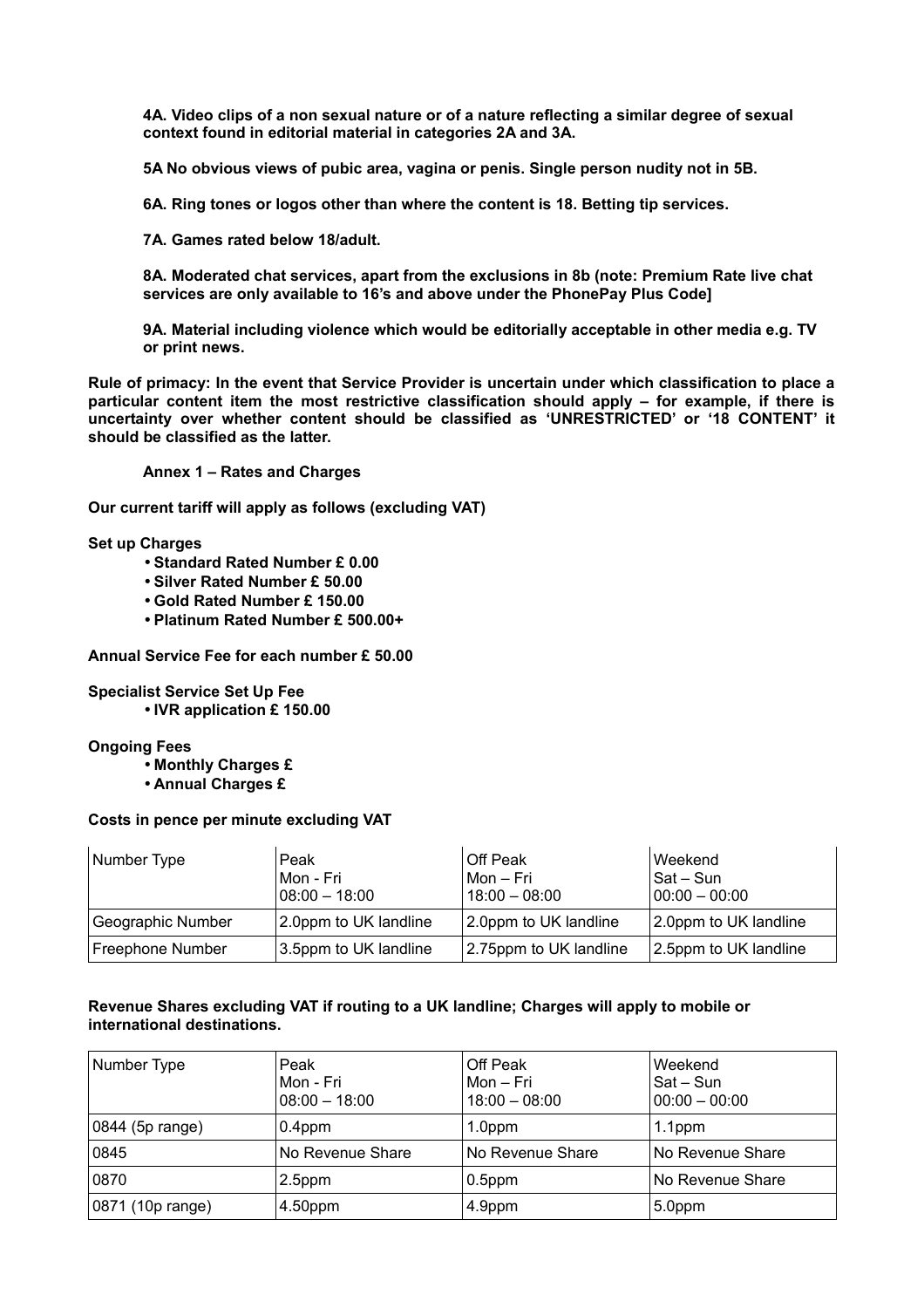**4A. Video clips of a non sexual nature or of a nature reflecting a similar degree of sexual context found in editorial material in categories 2A and 3A.**

**5A No obvious views of pubic area, vagina or penis. Single person nudity not in 5B.**

**6A. Ring tones or logos other than where the content is 18. Betting tip services.**

**7A. Games rated below 18/adult.**

**8A. Moderated chat services, apart from the exclusions in 8b (note: Premium Rate live chat services are only available to 16's and above under the PhonePay Plus Code]**

**9A. Material including violence which would be editorially acceptable in other media e.g. TV or print news.**

**Rule of primacy: In the event that Service Provider is uncertain under which classification to place a particular content item the most restrictive classification should apply – for example, if there is uncertainty over whether content should be classified as 'UNRESTRICTED' or '18 CONTENT' it should be classified as the latter.**

**Annex 1 – Rates and Charges**

**Our current tariff will apply as follows (excluding VAT)**

**Set up Charges**

- **Standard Rated Number £ 0.00**
- **Silver Rated Number £ 50.00**
- **Gold Rated Number £ 150.00**
- **Platinum Rated Number £ 500.00+**

**Annual Service Fee for each number £ 50.00**

#### **Specialist Service Set Up Fee**

• **IVR application £ 150.00**

#### **Ongoing Fees**

- **Monthly Charges £**
- **Annual Charges £**

#### **Costs in pence per minute excluding VAT**

| Number Type       | Peak<br>Mon - Fri<br>$108:00 - 18:00$ | Off Peak<br>l Mon – Fri<br>$18:00 - 08:00$ | Weekend<br>Sat – Sun<br>$100:00 - 00:00$ |
|-------------------|---------------------------------------|--------------------------------------------|------------------------------------------|
| Geographic Number | 2.0ppm to UK landline                 | 2.0ppm to UK landline                      | 2.0ppm to UK landline                    |
| Freephone Number  | 3.5ppm to UK landline                 | 2.75ppm to UK landline                     | 2.5ppm to UK landline                    |

## **Revenue Shares excluding VAT if routing to a UK landline; Charges will apply to mobile or international destinations.**

| Number Type      | Peak<br>Mon - Fri<br>$08:00 - 18:00$ | Off Peak<br>Mon – Fri<br>$18:00 - 08:00$ | Weekend<br>$Sat-Sun$<br>$00:00 - 00:00$ |
|------------------|--------------------------------------|------------------------------------------|-----------------------------------------|
| 0844 (5p range)  | $0.4$ ppm                            | 1.0ppm                                   | 1.1 <sub>ppm</sub>                      |
| 0845             | No Revenue Share                     | No Revenue Share                         | No Revenue Share                        |
| 0870             | 2.5ppm                               | $0.5$ ppm                                | No Revenue Share                        |
| 0871 (10p range) | 4.50ppm                              | 4.9ppm                                   | 5.0ppm                                  |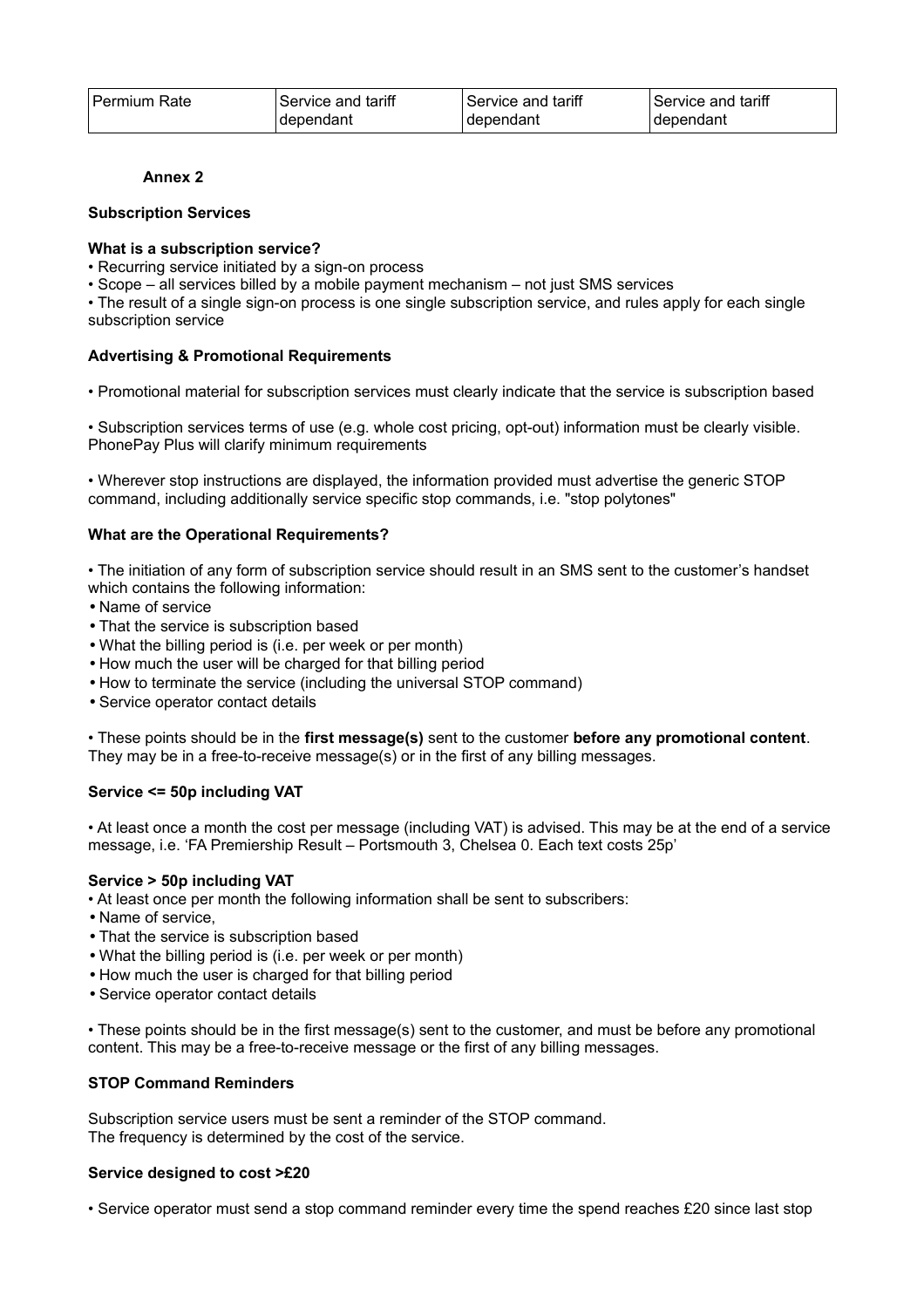| l Permium Rate | Service and tariff | Service and tariff | Service and tariff |
|----------------|--------------------|--------------------|--------------------|
|                | dependant          | dependant          | dependant          |

## **Annex 2**

## **Subscription Services**

## **What is a subscription service?**

- Recurring service initiated by a sign-on process
- Scope all services billed by a mobile payment mechanism not just SMS services

• The result of a single sign-on process is one single subscription service, and rules apply for each single subscription service

## **Advertising & Promotional Requirements**

• Promotional material for subscription services must clearly indicate that the service is subscription based

• Subscription services terms of use (e.g. whole cost pricing, opt-out) information must be clearly visible. PhonePay Plus will clarify minimum requirements

• Wherever stop instructions are displayed, the information provided must advertise the generic STOP command, including additionally service specific stop commands, i.e. "stop polytones"

## **What are the Operational Requirements?**

• The initiation of any form of subscription service should result in an SMS sent to the customer's handset which contains the following information:

- Name of service
- That the service is subscription based
- What the billing period is (i.e. per week or per month)
- How much the user will be charged for that billing period
- How to terminate the service (including the universal STOP command)
- Service operator contact details

• These points should be in the **first message(s)** sent to the customer **before any promotional content**. They may be in a free-to-receive message(s) or in the first of any billing messages.

# **Service <= 50p including VAT**

• At least once a month the cost per message (including VAT) is advised. This may be at the end of a service message, i.e. 'FA Premiership Result – Portsmouth 3, Chelsea 0. Each text costs 25p'

#### **Service > 50p including VAT**

- At least once per month the following information shall be sent to subscribers:
- Name of service,
- That the service is subscription based
- What the billing period is (i.e. per week or per month)
- How much the user is charged for that billing period
- Service operator contact details

• These points should be in the first message(s) sent to the customer, and must be before any promotional content. This may be a free-to-receive message or the first of any billing messages.

## **STOP Command Reminders**

Subscription service users must be sent a reminder of the STOP command. The frequency is determined by the cost of the service.

#### **Service designed to cost >£20**

• Service operator must send a stop command reminder every time the spend reaches £20 since last stop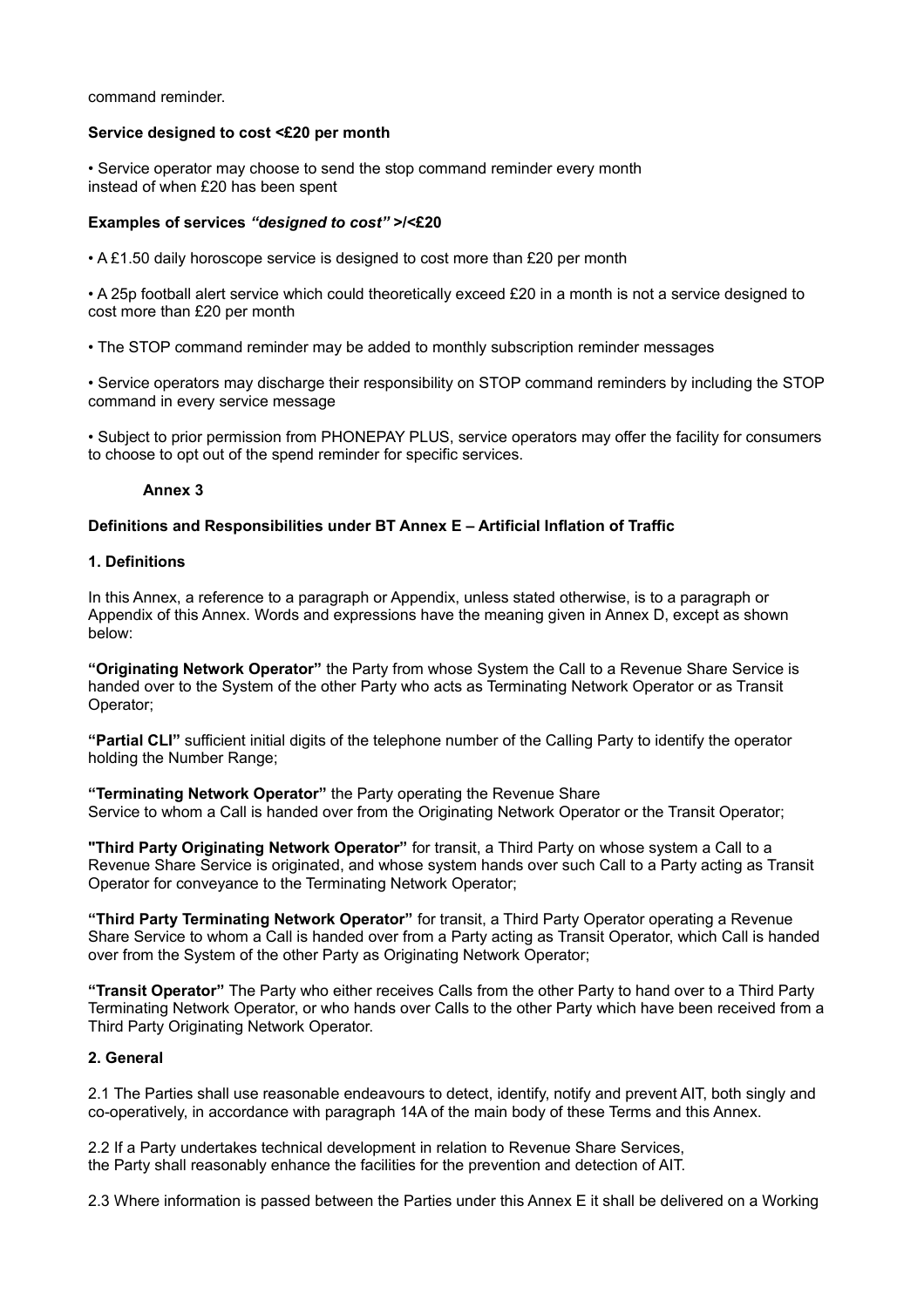command reminder.

#### **Service designed to cost <£20 per month**

• Service operator may choose to send the stop command reminder every month instead of when £20 has been spent

## **Examples of services** *"designed to cost"* **>/<£20**

• A £1.50 daily horoscope service is designed to cost more than £20 per month

• A 25p football alert service which could theoretically exceed £20 in a month is not a service designed to cost more than £20 per month

• The STOP command reminder may be added to monthly subscription reminder messages

• Service operators may discharge their responsibility on STOP command reminders by including the STOP command in every service message

• Subject to prior permission from PHONEPAY PLUS, service operators may offer the facility for consumers to choose to opt out of the spend reminder for specific services.

## **Annex 3**

## **Definitions and Responsibilities under BT Annex E – Artificial Inflation of Traffic**

#### **1. Definitions**

In this Annex, a reference to a paragraph or Appendix, unless stated otherwise, is to a paragraph or Appendix of this Annex. Words and expressions have the meaning given in Annex D, except as shown below:

**"Originating Network Operator"** the Party from whose System the Call to a Revenue Share Service is handed over to the System of the other Party who acts as Terminating Network Operator or as Transit Operator;

**"Partial CLI"** sufficient initial digits of the telephone number of the Calling Party to identify the operator holding the Number Range;

**"Terminating Network Operator"** the Party operating the Revenue Share Service to whom a Call is handed over from the Originating Network Operator or the Transit Operator;

**"Third Party Originating Network Operator"** for transit, a Third Party on whose system a Call to a Revenue Share Service is originated, and whose system hands over such Call to a Party acting as Transit Operator for conveyance to the Terminating Network Operator;

**"Third Party Terminating Network Operator"** for transit, a Third Party Operator operating a Revenue Share Service to whom a Call is handed over from a Party acting as Transit Operator, which Call is handed over from the System of the other Party as Originating Network Operator;

**"Transit Operator"** The Party who either receives Calls from the other Party to hand over to a Third Party Terminating Network Operator, or who hands over Calls to the other Party which have been received from a Third Party Originating Network Operator.

# **2. General**

2.1 The Parties shall use reasonable endeavours to detect, identify, notify and prevent AIT, both singly and co-operatively, in accordance with paragraph 14A of the main body of these Terms and this Annex.

2.2 If a Party undertakes technical development in relation to Revenue Share Services, the Party shall reasonably enhance the facilities for the prevention and detection of AIT.

2.3 Where information is passed between the Parties under this Annex E it shall be delivered on a Working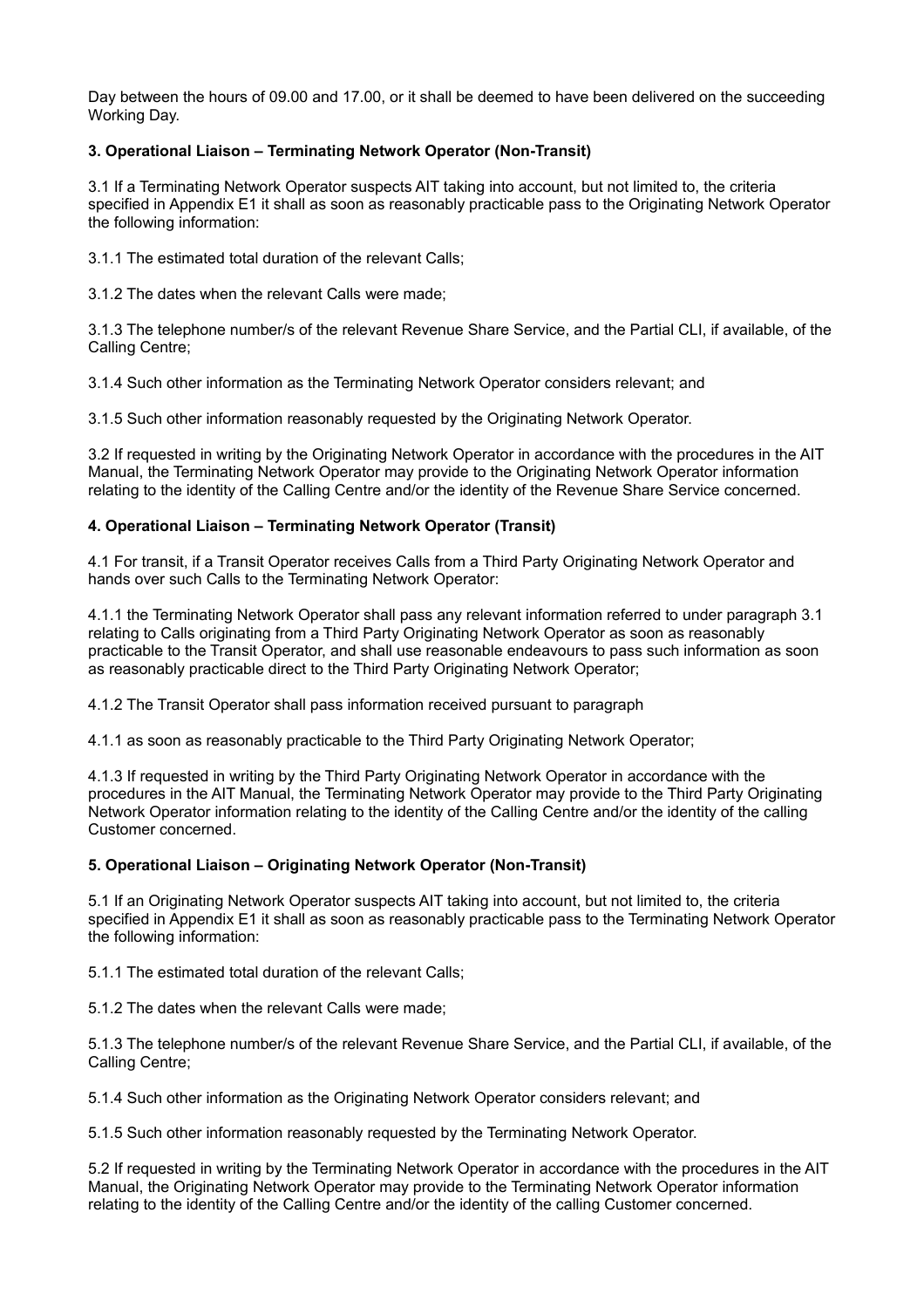Day between the hours of 09.00 and 17.00, or it shall be deemed to have been delivered on the succeeding Working Day.

# **3. Operational Liaison – Terminating Network Operator (Non-Transit)**

3.1 If a Terminating Network Operator suspects AIT taking into account, but not limited to, the criteria specified in Appendix E1 it shall as soon as reasonably practicable pass to the Originating Network Operator the following information:

3.1.1 The estimated total duration of the relevant Calls;

3.1.2 The dates when the relevant Calls were made;

3.1.3 The telephone number/s of the relevant Revenue Share Service, and the Partial CLI, if available, of the Calling Centre;

3.1.4 Such other information as the Terminating Network Operator considers relevant; and

3.1.5 Such other information reasonably requested by the Originating Network Operator.

3.2 If requested in writing by the Originating Network Operator in accordance with the procedures in the AIT Manual, the Terminating Network Operator may provide to the Originating Network Operator information relating to the identity of the Calling Centre and/or the identity of the Revenue Share Service concerned.

## **4. Operational Liaison – Terminating Network Operator (Transit)**

4.1 For transit, if a Transit Operator receives Calls from a Third Party Originating Network Operator and hands over such Calls to the Terminating Network Operator:

4.1.1 the Terminating Network Operator shall pass any relevant information referred to under paragraph 3.1 relating to Calls originating from a Third Party Originating Network Operator as soon as reasonably practicable to the Transit Operator, and shall use reasonable endeavours to pass such information as soon as reasonably practicable direct to the Third Party Originating Network Operator;

4.1.2 The Transit Operator shall pass information received pursuant to paragraph

4.1.1 as soon as reasonably practicable to the Third Party Originating Network Operator;

4.1.3 If requested in writing by the Third Party Originating Network Operator in accordance with the procedures in the AIT Manual, the Terminating Network Operator may provide to the Third Party Originating Network Operator information relating to the identity of the Calling Centre and/or the identity of the calling Customer concerned.

# **5. Operational Liaison – Originating Network Operator (Non-Transit)**

5.1 If an Originating Network Operator suspects AIT taking into account, but not limited to, the criteria specified in Appendix E1 it shall as soon as reasonably practicable pass to the Terminating Network Operator the following information:

5.1.1 The estimated total duration of the relevant Calls;

5.1.2 The dates when the relevant Calls were made;

5.1.3 The telephone number/s of the relevant Revenue Share Service, and the Partial CLI, if available, of the Calling Centre;

5.1.4 Such other information as the Originating Network Operator considers relevant; and

5.1.5 Such other information reasonably requested by the Terminating Network Operator.

5.2 If requested in writing by the Terminating Network Operator in accordance with the procedures in the AIT Manual, the Originating Network Operator may provide to the Terminating Network Operator information relating to the identity of the Calling Centre and/or the identity of the calling Customer concerned.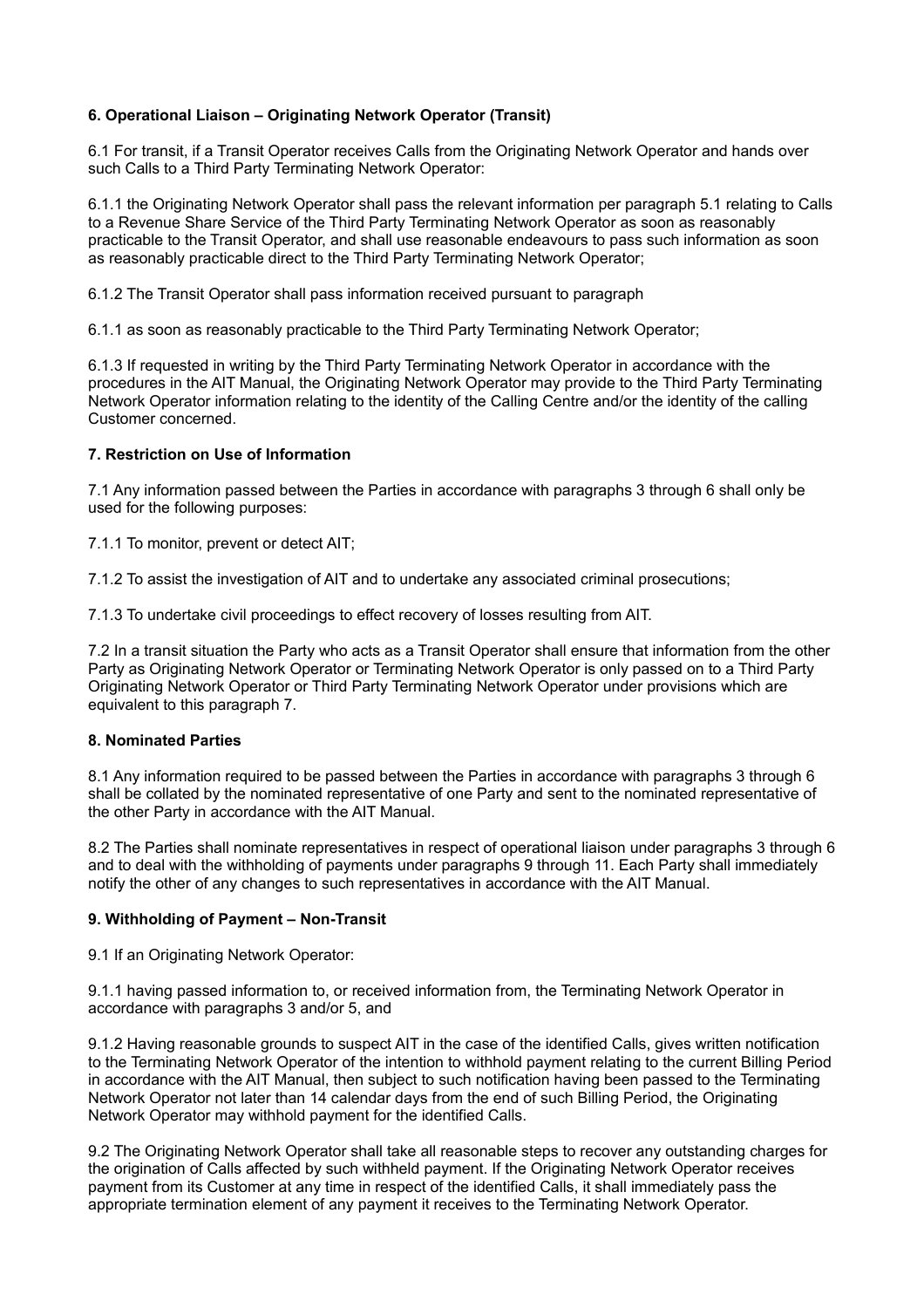# **6. Operational Liaison – Originating Network Operator (Transit)**

6.1 For transit, if a Transit Operator receives Calls from the Originating Network Operator and hands over such Calls to a Third Party Terminating Network Operator:

6.1.1 the Originating Network Operator shall pass the relevant information per paragraph 5.1 relating to Calls to a Revenue Share Service of the Third Party Terminating Network Operator as soon as reasonably practicable to the Transit Operator, and shall use reasonable endeavours to pass such information as soon as reasonably practicable direct to the Third Party Terminating Network Operator;

6.1.2 The Transit Operator shall pass information received pursuant to paragraph

6.1.1 as soon as reasonably practicable to the Third Party Terminating Network Operator;

6.1.3 If requested in writing by the Third Party Terminating Network Operator in accordance with the procedures in the AIT Manual, the Originating Network Operator may provide to the Third Party Terminating Network Operator information relating to the identity of the Calling Centre and/or the identity of the calling Customer concerned.

# **7. Restriction on Use of Information**

7.1 Any information passed between the Parties in accordance with paragraphs 3 through 6 shall only be used for the following purposes:

7.1.1 To monitor, prevent or detect AIT;

7.1.2 To assist the investigation of AIT and to undertake any associated criminal prosecutions;

7.1.3 To undertake civil proceedings to effect recovery of losses resulting from AIT.

7.2 In a transit situation the Party who acts as a Transit Operator shall ensure that information from the other Party as Originating Network Operator or Terminating Network Operator is only passed on to a Third Party Originating Network Operator or Third Party Terminating Network Operator under provisions which are equivalent to this paragraph 7.

# **8. Nominated Parties**

8.1 Any information required to be passed between the Parties in accordance with paragraphs 3 through 6 shall be collated by the nominated representative of one Party and sent to the nominated representative of the other Party in accordance with the AIT Manual.

8.2 The Parties shall nominate representatives in respect of operational liaison under paragraphs 3 through 6 and to deal with the withholding of payments under paragraphs 9 through 11. Each Party shall immediately notify the other of any changes to such representatives in accordance with the AIT Manual.

# **9. Withholding of Payment – Non-Transit**

9.1 If an Originating Network Operator:

9.1.1 having passed information to, or received information from, the Terminating Network Operator in accordance with paragraphs 3 and/or 5, and

9.1.2 Having reasonable grounds to suspect AIT in the case of the identified Calls, gives written notification to the Terminating Network Operator of the intention to withhold payment relating to the current Billing Period in accordance with the AIT Manual, then subject to such notification having been passed to the Terminating Network Operator not later than 14 calendar days from the end of such Billing Period, the Originating Network Operator may withhold payment for the identified Calls.

9.2 The Originating Network Operator shall take all reasonable steps to recover any outstanding charges for the origination of Calls affected by such withheld payment. If the Originating Network Operator receives payment from its Customer at any time in respect of the identified Calls, it shall immediately pass the appropriate termination element of any payment it receives to the Terminating Network Operator.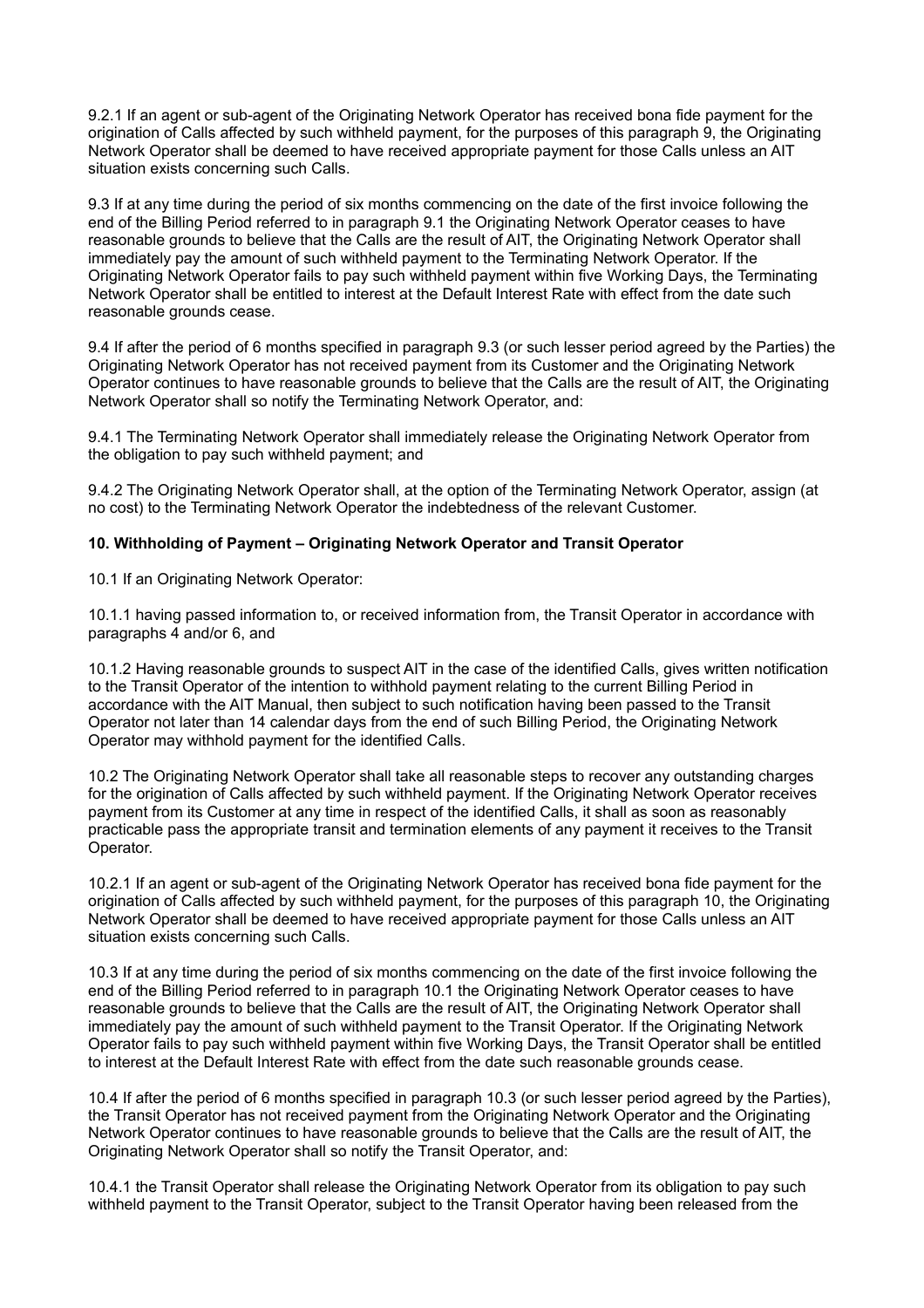9.2.1 If an agent or sub-agent of the Originating Network Operator has received bona fide payment for the origination of Calls affected by such withheld payment, for the purposes of this paragraph 9, the Originating Network Operator shall be deemed to have received appropriate payment for those Calls unless an AIT situation exists concerning such Calls.

9.3 If at any time during the period of six months commencing on the date of the first invoice following the end of the Billing Period referred to in paragraph 9.1 the Originating Network Operator ceases to have reasonable grounds to believe that the Calls are the result of AIT, the Originating Network Operator shall immediately pay the amount of such withheld payment to the Terminating Network Operator. If the Originating Network Operator fails to pay such withheld payment within five Working Days, the Terminating Network Operator shall be entitled to interest at the Default Interest Rate with effect from the date such reasonable grounds cease.

9.4 If after the period of 6 months specified in paragraph 9.3 (or such lesser period agreed by the Parties) the Originating Network Operator has not received payment from its Customer and the Originating Network Operator continues to have reasonable grounds to believe that the Calls are the result of AIT, the Originating Network Operator shall so notify the Terminating Network Operator, and:

9.4.1 The Terminating Network Operator shall immediately release the Originating Network Operator from the obligation to pay such withheld payment; and

9.4.2 The Originating Network Operator shall, at the option of the Terminating Network Operator, assign (at no cost) to the Terminating Network Operator the indebtedness of the relevant Customer.

# **10. Withholding of Payment – Originating Network Operator and Transit Operator**

10.1 If an Originating Network Operator:

10.1.1 having passed information to, or received information from, the Transit Operator in accordance with paragraphs 4 and/or 6, and

10.1.2 Having reasonable grounds to suspect AIT in the case of the identified Calls, gives written notification to the Transit Operator of the intention to withhold payment relating to the current Billing Period in accordance with the AIT Manual, then subject to such notification having been passed to the Transit Operator not later than 14 calendar days from the end of such Billing Period, the Originating Network Operator may withhold payment for the identified Calls.

10.2 The Originating Network Operator shall take all reasonable steps to recover any outstanding charges for the origination of Calls affected by such withheld payment. If the Originating Network Operator receives payment from its Customer at any time in respect of the identified Calls, it shall as soon as reasonably practicable pass the appropriate transit and termination elements of any payment it receives to the Transit Operator.

10.2.1 If an agent or sub-agent of the Originating Network Operator has received bona fide payment for the origination of Calls affected by such withheld payment, for the purposes of this paragraph 10, the Originating Network Operator shall be deemed to have received appropriate payment for those Calls unless an AIT situation exists concerning such Calls.

10.3 If at any time during the period of six months commencing on the date of the first invoice following the end of the Billing Period referred to in paragraph 10.1 the Originating Network Operator ceases to have reasonable grounds to believe that the Calls are the result of AIT, the Originating Network Operator shall immediately pay the amount of such withheld payment to the Transit Operator. If the Originating Network Operator fails to pay such withheld payment within five Working Days, the Transit Operator shall be entitled to interest at the Default Interest Rate with effect from the date such reasonable grounds cease.

10.4 If after the period of 6 months specified in paragraph 10.3 (or such lesser period agreed by the Parties), the Transit Operator has not received payment from the Originating Network Operator and the Originating Network Operator continues to have reasonable grounds to believe that the Calls are the result of AIT, the Originating Network Operator shall so notify the Transit Operator, and:

10.4.1 the Transit Operator shall release the Originating Network Operator from its obligation to pay such withheld payment to the Transit Operator, subject to the Transit Operator having been released from the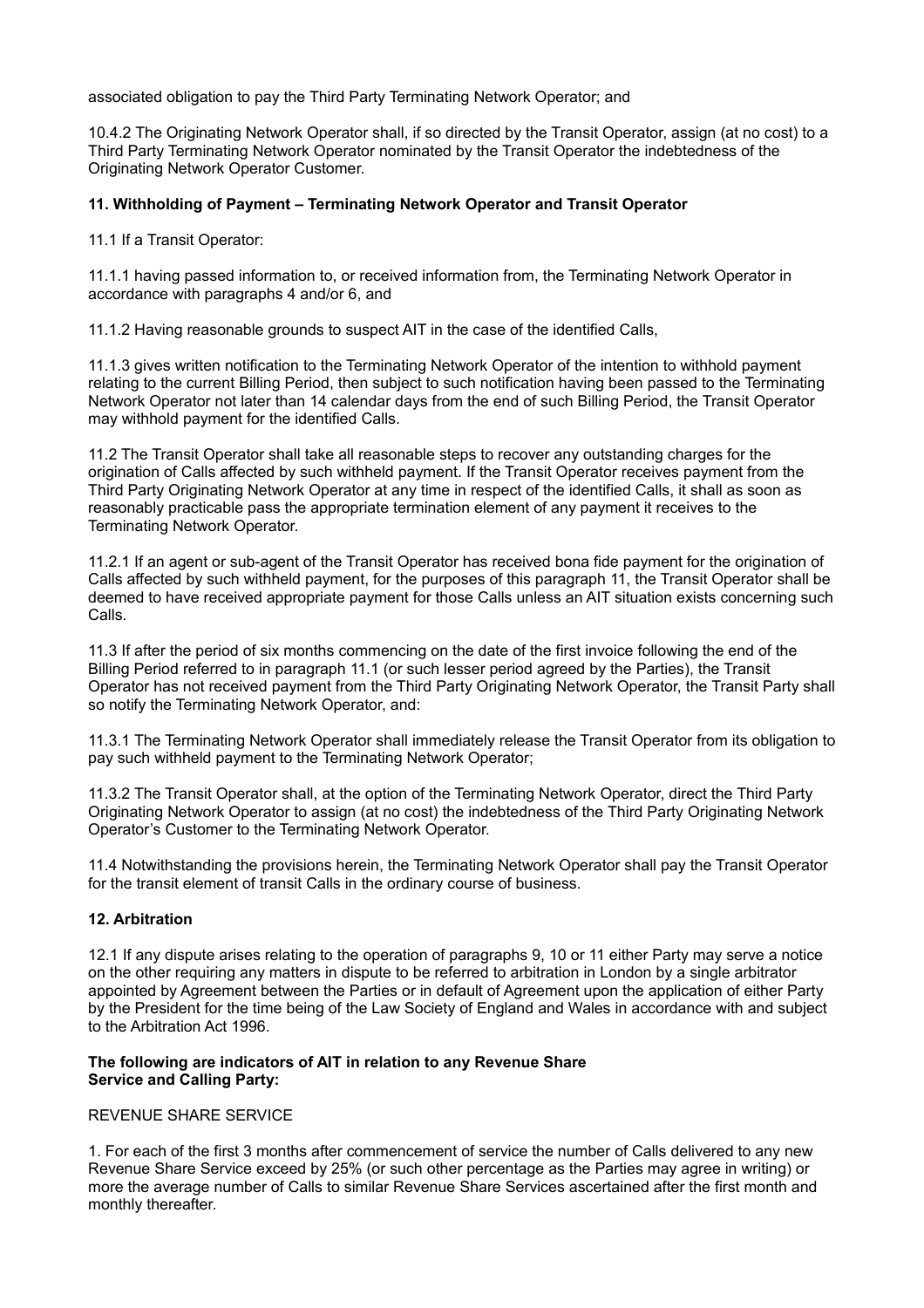associated obligation to pay the Third Party Terminating Network Operator; and

10.4.2 The Originating Network Operator shall, if so directed by the Transit Operator, assign (at no cost) to a Third Party Terminating Network Operator nominated by the Transit Operator the indebtedness of the Originating Network Operator Customer.

## **11. Withholding of Payment – Terminating Network Operator and Transit Operator**

11.1 If a Transit Operator:

11.1.1 having passed information to, or received information from, the Terminating Network Operator in accordance with paragraphs 4 and/or 6, and

11.1.2 Having reasonable grounds to suspect AIT in the case of the identified Calls,

11.1.3 gives written notification to the Terminating Network Operator of the intention to withhold payment relating to the current Billing Period, then subject to such notification having been passed to the Terminating Network Operator not later than 14 calendar days from the end of such Billing Period, the Transit Operator may withhold payment for the identified Calls.

11.2 The Transit Operator shall take all reasonable steps to recover any outstanding charges for the origination of Calls affected by such withheld payment. If the Transit Operator receives payment from the Third Party Originating Network Operator at any time in respect of the identified Calls, it shall as soon as reasonably practicable pass the appropriate termination element of any payment it receives to the Terminating Network Operator.

11.2.1 If an agent or sub-agent of the Transit Operator has received bona fide payment for the origination of Calls affected by such withheld payment, for the purposes of this paragraph 11, the Transit Operator shall be deemed to have received appropriate payment for those Calls unless an AIT situation exists concerning such Calls.

11.3 If after the period of six months commencing on the date of the first invoice following the end of the Billing Period referred to in paragraph 11.1 (or such lesser period agreed by the Parties), the Transit Operator has not received payment from the Third Party Originating Network Operator, the Transit Party shall so notify the Terminating Network Operator, and:

11.3.1 The Terminating Network Operator shall immediately release the Transit Operator from its obligation to pay such withheld payment to the Terminating Network Operator;

11.3.2 The Transit Operator shall, at the option of the Terminating Network Operator, direct the Third Party Originating Network Operator to assign (at no cost) the indebtedness of the Third Party Originating Network Operator's Customer to the Terminating Network Operator.

11.4 Notwithstanding the provisions herein, the Terminating Network Operator shall pay the Transit Operator for the transit element of transit Calls in the ordinary course of business.

# **12. Arbitration**

12.1 If any dispute arises relating to the operation of paragraphs 9, 10 or 11 either Party may serve a notice on the other requiring any matters in dispute to be referred to arbitration in London by a single arbitrator appointed by Agreement between the Parties or in default of Agreement upon the application of either Party by the President for the time being of the Law Society of England and Wales in accordance with and subject to the Arbitration Act 1996.

## **The following are indicators of AIT in relation to any Revenue Share Service and Calling Party:**

# REVENUE SHARE SERVICE

1. For each of the first 3 months after commencement of service the number of Calls delivered to any new Revenue Share Service exceed by 25% (or such other percentage as the Parties may agree in writing) or more the average number of Calls to similar Revenue Share Services ascertained after the first month and monthly thereafter.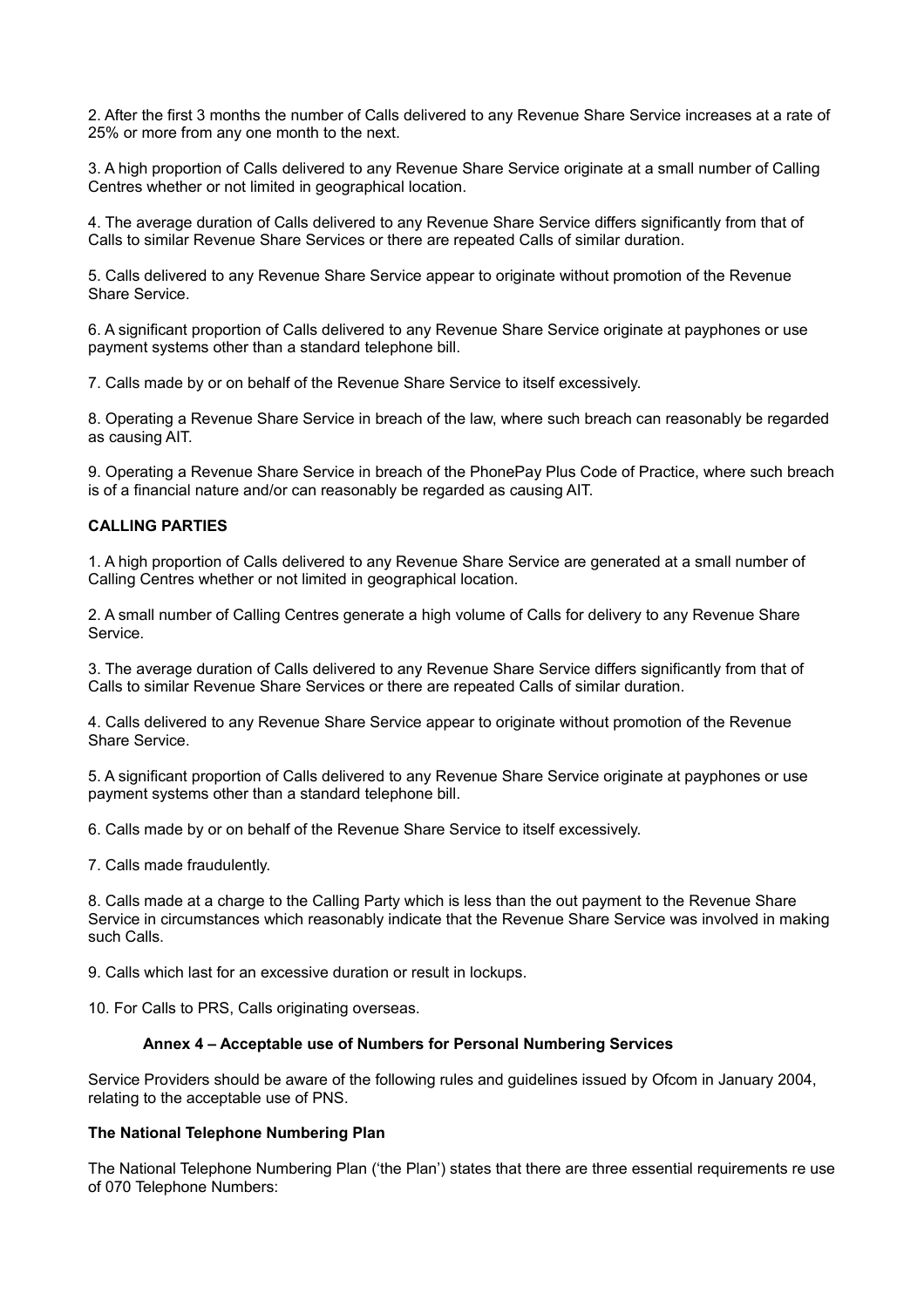2. After the first 3 months the number of Calls delivered to any Revenue Share Service increases at a rate of 25% or more from any one month to the next.

3. A high proportion of Calls delivered to any Revenue Share Service originate at a small number of Calling Centres whether or not limited in geographical location.

4. The average duration of Calls delivered to any Revenue Share Service differs significantly from that of Calls to similar Revenue Share Services or there are repeated Calls of similar duration.

5. Calls delivered to any Revenue Share Service appear to originate without promotion of the Revenue Share Service.

6. A significant proportion of Calls delivered to any Revenue Share Service originate at payphones or use payment systems other than a standard telephone bill.

7. Calls made by or on behalf of the Revenue Share Service to itself excessively.

8. Operating a Revenue Share Service in breach of the law, where such breach can reasonably be regarded as causing AIT.

9. Operating a Revenue Share Service in breach of the PhonePay Plus Code of Practice, where such breach is of a financial nature and/or can reasonably be regarded as causing AIT.

## **CALLING PARTIES**

1. A high proportion of Calls delivered to any Revenue Share Service are generated at a small number of Calling Centres whether or not limited in geographical location.

2. A small number of Calling Centres generate a high volume of Calls for delivery to any Revenue Share Service.

3. The average duration of Calls delivered to any Revenue Share Service differs significantly from that of Calls to similar Revenue Share Services or there are repeated Calls of similar duration.

4. Calls delivered to any Revenue Share Service appear to originate without promotion of the Revenue Share Service.

5. A significant proportion of Calls delivered to any Revenue Share Service originate at payphones or use payment systems other than a standard telephone bill.

6. Calls made by or on behalf of the Revenue Share Service to itself excessively.

7. Calls made fraudulently.

8. Calls made at a charge to the Calling Party which is less than the out payment to the Revenue Share Service in circumstances which reasonably indicate that the Revenue Share Service was involved in making such Calls.

9. Calls which last for an excessive duration or result in lockups.

10. For Calls to PRS, Calls originating overseas.

#### **Annex 4 – Acceptable use of Numbers for Personal Numbering Services**

Service Providers should be aware of the following rules and guidelines issued by Ofcom in January 2004, relating to the acceptable use of PNS.

#### **The National Telephone Numbering Plan**

The National Telephone Numbering Plan ('the Plan') states that there are three essential requirements re use of 070 Telephone Numbers: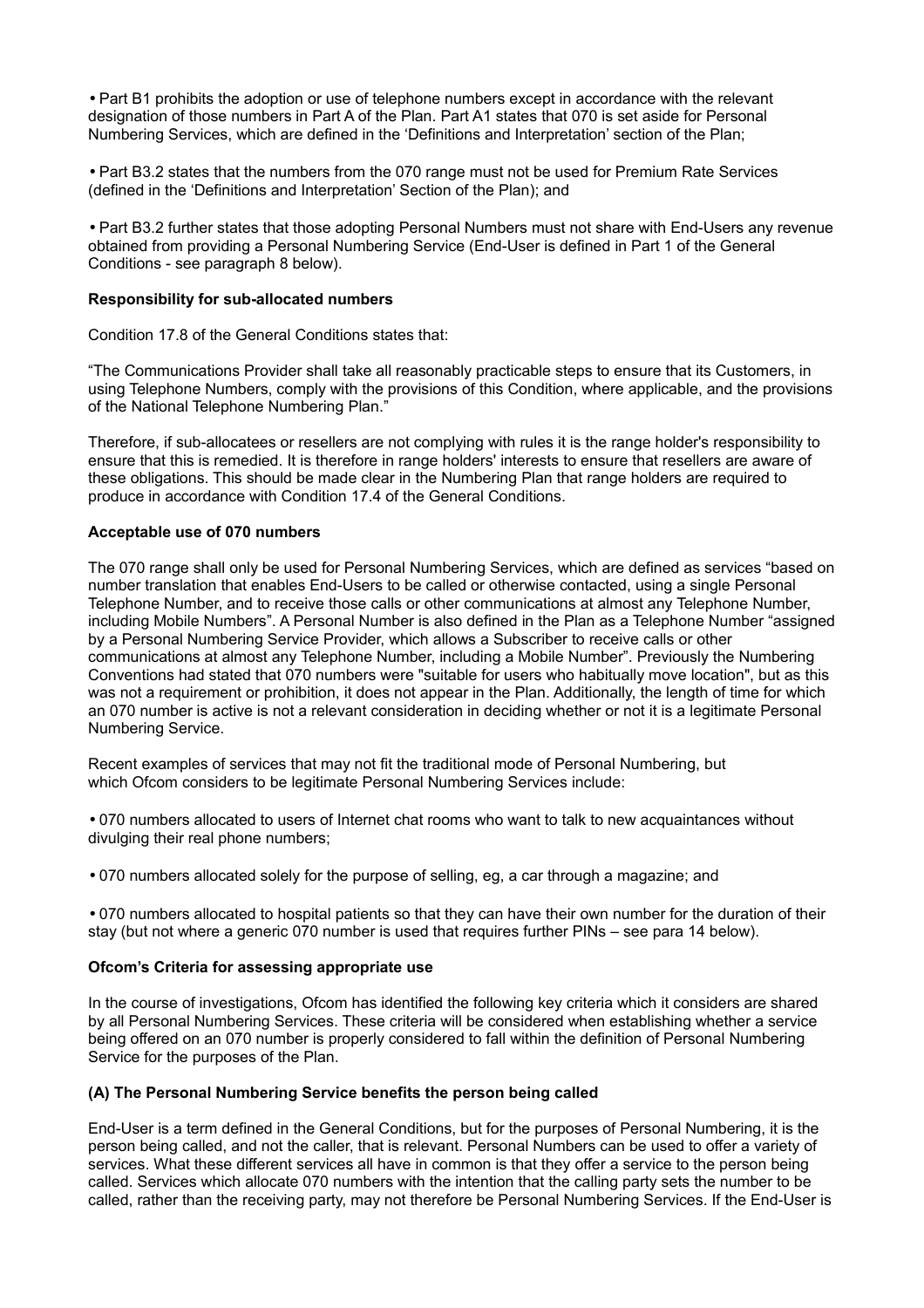• Part B1 prohibits the adoption or use of telephone numbers except in accordance with the relevant designation of those numbers in Part A of the Plan. Part A1 states that 070 is set aside for Personal Numbering Services, which are defined in the 'Definitions and Interpretation' section of the Plan;

• Part B3.2 states that the numbers from the 070 range must not be used for Premium Rate Services (defined in the 'Definitions and Interpretation' Section of the Plan); and

• Part B3.2 further states that those adopting Personal Numbers must not share with End-Users any revenue obtained from providing a Personal Numbering Service (End-User is defined in Part 1 of the General Conditions - see paragraph 8 below).

#### **Responsibility for sub-allocated numbers**

Condition 17.8 of the General Conditions states that:

"The Communications Provider shall take all reasonably practicable steps to ensure that its Customers, in using Telephone Numbers, comply with the provisions of this Condition, where applicable, and the provisions of the National Telephone Numbering Plan."

Therefore, if sub-allocatees or resellers are not complying with rules it is the range holder's responsibility to ensure that this is remedied. It is therefore in range holders' interests to ensure that resellers are aware of these obligations. This should be made clear in the Numbering Plan that range holders are required to produce in accordance with Condition 17.4 of the General Conditions.

## **Acceptable use of 070 numbers**

The 070 range shall only be used for Personal Numbering Services, which are defined as services "based on number translation that enables End-Users to be called or otherwise contacted, using a single Personal Telephone Number, and to receive those calls or other communications at almost any Telephone Number, including Mobile Numbers". A Personal Number is also defined in the Plan as a Telephone Number "assigned by a Personal Numbering Service Provider, which allows a Subscriber to receive calls or other communications at almost any Telephone Number, including a Mobile Number". Previously the Numbering Conventions had stated that 070 numbers were "suitable for users who habitually move location", but as this was not a requirement or prohibition, it does not appear in the Plan. Additionally, the length of time for which an 070 number is active is not a relevant consideration in deciding whether or not it is a legitimate Personal Numbering Service.

Recent examples of services that may not fit the traditional mode of Personal Numbering, but which Ofcom considers to be legitimate Personal Numbering Services include:

• 070 numbers allocated to users of Internet chat rooms who want to talk to new acquaintances without divulging their real phone numbers;

• 070 numbers allocated solely for the purpose of selling, eg, a car through a magazine; and

• 070 numbers allocated to hospital patients so that they can have their own number for the duration of their stay (but not where a generic 070 number is used that requires further PINs – see para 14 below).

# **Ofcom's Criteria for assessing appropriate use**

In the course of investigations, Ofcom has identified the following key criteria which it considers are shared by all Personal Numbering Services. These criteria will be considered when establishing whether a service being offered on an 070 number is properly considered to fall within the definition of Personal Numbering Service for the purposes of the Plan.

# **(A) The Personal Numbering Service benefits the person being called**

End-User is a term defined in the General Conditions, but for the purposes of Personal Numbering, it is the person being called, and not the caller, that is relevant. Personal Numbers can be used to offer a variety of services. What these different services all have in common is that they offer a service to the person being called. Services which allocate 070 numbers with the intention that the calling party sets the number to be called, rather than the receiving party, may not therefore be Personal Numbering Services. If the End-User is